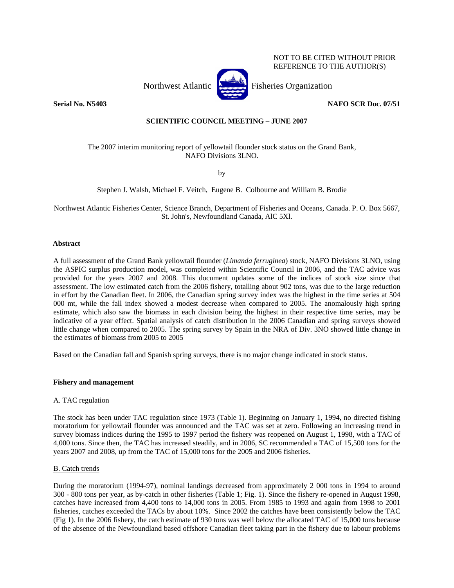NOT TO BE CITED WITHOUT PRIOR REFERENCE TO THE AUTHOR(S)

Northwest Atlantic Fisheries Organization



**Serial No. N5403 NAFO SCR Doc. 07/51** 

# **SCIENTIFIC COUNCIL MEETING – JUNE 2007**

# The 2007 interim monitoring report of yellowtail flounder stock status on the Grand Bank, NAFO Divisions 3LNO.

by

Stephen J. Walsh, Michael F. Veitch, Eugene B. Colbourne and William B. Brodie

Northwest Atlantic Fisheries Center, Science Branch, Department of Fisheries and Oceans, Canada. P. O. Box 5667, St. John's, Newfoundland Canada, AlC 5Xl.

# **Abstract**

A full assessment of the Grand Bank yellowtail flounder (*Limanda ferruginea*) stock, NAFO Divisions 3LNO, using the ASPIC surplus production model, was completed within Scientific Council in 2006, and the TAC advice was provided for the years 2007 and 2008. This document updates some of the indices of stock size since that assessment. The low estimated catch from the 2006 fishery, totalling about 902 tons, was due to the large reduction in effort by the Canadian fleet. In 2006, the Canadian spring survey index was the highest in the time series at 504 000 mt, while the fall index showed a modest decrease when compared to 2005. The anomalously high spring estimate, which also saw the biomass in each division being the highest in their respective time series, may be indicative of a year effect. Spatial analysis of catch distribution in the 2006 Canadian and spring surveys showed little change when compared to 2005. The spring survey by Spain in the NRA of Div. 3NO showed little change in the estimates of biomass from 2005 to 2005

Based on the Canadian fall and Spanish spring surveys, there is no major change indicated in stock status.

### **Fishery and management**

# A. TAC regulation

The stock has been under TAC regulation since 1973 (Table 1). Beginning on January 1, 1994, no directed fishing moratorium for yellowtail flounder was announced and the TAC was set at zero. Following an increasing trend in survey biomass indices during the 1995 to 1997 period the fishery was reopened on August 1, 1998, with a TAC of 4,000 tons. Since then, the TAC has increased steadily, and in 2006, SC recommended a TAC of 15,500 tons for the years 2007 and 2008, up from the TAC of 15,000 tons for the 2005 and 2006 fisheries.

### B. Catch trends

During the moratorium (1994-97), nominal landings decreased from approximately 2 000 tons in 1994 to around 300 - 800 tons per year, as by-catch in other fisheries (Table 1; Fig. 1). Since the fishery re-opened in August 1998, catches have increased from 4,400 tons to 14,000 tons in 2005. From 1985 to 1993 and again from 1998 to 2001 fisheries, catches exceeded the TACs by about 10%. Since 2002 the catches have been consistently below the TAC (Fig 1). In the 2006 fishery, the catch estimate of 930 tons was well below the allocated TAC of 15,000 tons because of the absence of the Newfoundland based offshore Canadian fleet taking part in the fishery due to labour problems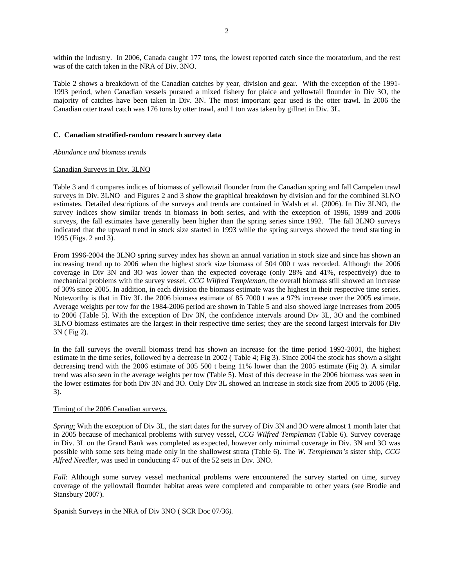within the industry. In 2006, Canada caught 177 tons, the lowest reported catch since the moratorium, and the rest was of the catch taken in the NRA of Div. 3NO.

Table 2 shows a breakdown of the Canadian catches by year, division and gear. With the exception of the 1991- 1993 period, when Canadian vessels pursued a mixed fishery for plaice and yellowtail flounder in Div 3O, the majority of catches have been taken in Div. 3N. The most important gear used is the otter trawl. In 2006 the Canadian otter trawl catch was 176 tons by otter trawl, and 1 ton was taken by gillnet in Div. 3L.

### **C. Canadian stratified-random research survey data**

### *Abundance and biomass trends*

# Canadian Surveys in Div. 3LNO

Table 3 and 4 compares indices of biomass of yellowtail flounder from the Canadian spring and fall Campelen trawl surveys in Div. 3LNO and Figures 2 and 3 show the graphical breakdown by division and for the combined 3LNO estimates. Detailed descriptions of the surveys and trends are contained in Walsh et al. (2006). In Div 3LNO, the survey indices show similar trends in biomass in both series, and with the exception of 1996, 1999 and 2006 surveys, the fall estimates have generally been higher than the spring series since 1992. The fall 3LNO surveys indicated that the upward trend in stock size started in 1993 while the spring surveys showed the trend starting in 1995 (Figs. 2 and 3).

From 1996-2004 the 3LNO spring survey index has shown an annual variation in stock size and since has shown an increasing trend up to 2006 when the highest stock size biomass of 504 000 t was recorded. Although the 2006 coverage in Div 3N and 3O was lower than the expected coverage (only 28% and 41%, respectively) due to mechanical problems with the survey vessel, *CCG Wilfred Templeman*, the overall biomass still showed an increase of 30% since 2005. In addition, in each division the biomass estimate was the highest in their respective time series. Noteworthy is that in Div 3L the 2006 biomass estimate of 85 7000 t was a 97% increase over the 2005 estimate. Average weights per tow for the 1984-2006 period are shown in Table 5 and also showed large increases from 2005 to 2006 (Table 5). With the exception of Div 3N, the confidence intervals around Div 3L, 3O and the combined 3LNO biomass estimates are the largest in their respective time series; they are the second largest intervals for Div 3N ( Fig 2).

In the fall surveys the overall biomass trend has shown an increase for the time period 1992-2001, the highest estimate in the time series, followed by a decrease in 2002 ( Table 4; Fig 3). Since 2004 the stock has shown a slight decreasing trend with the 2006 estimate of 305 500 t being 11% lower than the 2005 estimate (Fig 3). A similar trend was also seen in the average weights per tow (Table 5). Most of this decrease in the 2006 biomass was seen in the lower estimates for both Div 3N and 3O. Only Div 3L showed an increase in stock size from 2005 to 2006 (Fig. 3).

### Timing of the 2006 Canadian surveys.

*Spring*: With the exception of Div 3L, the start dates for the survey of Div 3N and 3O were almost 1 month later that in 2005 because of mechanical problems with survey vessel, *CCG Wilfred Templeman* (Table 6). Survey coverage in Div. 3L on the Grand Bank was completed as expected, however only minimal coverage in Div. 3N and 3O was possible with some sets being made only in the shallowest strata (Table 6). The *W. Templeman's* sister ship, *CCG Alfred Needler*, was used in conducting 47 out of the 52 sets in Div. 3NO.

*Fall*: Although some survey vessel mechanical problems were encountered the survey started on time, survey coverage of the yellowtail flounder habitat areas were completed and comparable to other years (see Brodie and Stansbury 2007).

### Spanish Surveys in the NRA of Div 3NO ( SCR Doc 07/36*).*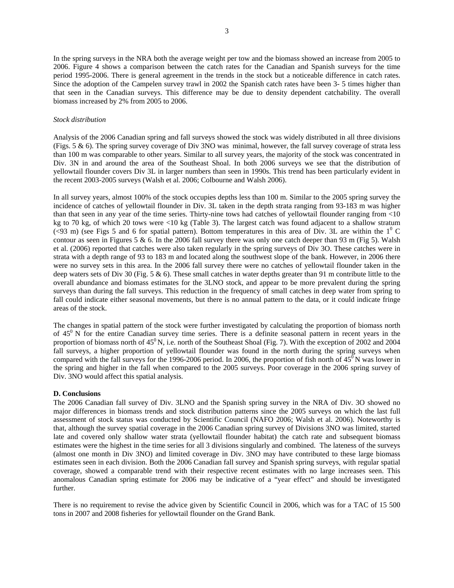In the spring surveys in the NRA both the average weight per tow and the biomass showed an increase from 2005 to 2006. Figure 4 shows a comparison between the catch rates for the Canadian and Spanish surveys for the time period 1995-2006. There is general agreement in the trends in the stock but a noticeable difference in catch rates. Since the adoption of the Campelen survey trawl in 2002 the Spanish catch rates have been 3- 5 times higher than that seen in the Canadian surveys. This difference may be due to density dependent catchability. The overall biomass increased by 2% from 2005 to 2006.

### *Stock distribution*

Analysis of the 2006 Canadian spring and fall surveys showed the stock was widely distributed in all three divisions (Figs. 5 & 6). The spring survey coverage of Div 3NO was minimal, however, the fall survey coverage of strata less than 100 m was comparable to other years. Similar to all survey years, the majority of the stock was concentrated in Div. 3N in and around the area of the Southeast Shoal. In both 2006 surveys we see that the distribution of yellowtail flounder covers Div 3L in larger numbers than seen in 1990s. This trend has been particularly evident in the recent 2003-2005 surveys (Walsh et al. 2006; Colbourne and Walsh 2006).

In all survey years, almost 100% of the stock occupies depths less than 100 m. Similar to the 2005 spring survey the incidence of catches of yellowtail flounder in Div. 3L taken in the depth strata ranging from 93-183 m was higher than that seen in any year of the time series. Thirty-nine tows had catches of yellowtail flounder ranging from <10 kg to 70 kg, of which 20 tows were <10 kg (Table 3). The largest catch was found adjacent to a shallow stratum (<93 m) (see Figs 5 and 6 for spatial pattern). Bottom temperatures in this area of Div. 3L are within the  $1^0$  C contour as seen in Figures 5  $\&$  6. In the 2006 fall survey there was only one catch deeper than 93 m (Fig 5). Walsh et al. (2006) reported that catches were also taken regularly in the spring surveys of Div 3O. These catches were in strata with a depth range of 93 to 183 m and located along the southwest slope of the bank. However, in 2006 there were no survey sets in this area. In the 2006 fall survey there were no catches of yellowtail flounder taken in the deep waters sets of Div 30 (Fig. 5 & 6). These small catches in water depths greater than 91 m contribute little to the overall abundance and biomass estimates for the 3LNO stock, and appear to be more prevalent during the spring surveys than during the fall surveys. This reduction in the frequency of small catches in deep water from spring to fall could indicate either seasonal movements, but there is no annual pattern to the data, or it could indicate fringe areas of the stock.

The changes in spatial pattern of the stock were further investigated by calculating the proportion of biomass north of  $45<sup>0</sup>$  N for the entire Canadian survey time series. There is a definite seasonal pattern in recent years in the proportion of biomass north of  $45^{\circ}$  N, i.e. north of the Southeast Shoal (Fig. 7). With the exception of 2002 and 2004 fall surveys, a higher proportion of yellowtail flounder was found in the north during the spring surveys when compared with the fall surveys for the 1996-2006 period. In 2006, the proportion of fish north of  $45^{\circ}$ N was lower in the spring and higher in the fall when compared to the 2005 surveys. Poor coverage in the 2006 spring survey of Div. 3NO would affect this spatial analysis.

#### **D. Conclusions**

The 2006 Canadian fall survey of Div. 3LNO and the Spanish spring survey in the NRA of Div. 3O showed no major differences in biomass trends and stock distribution patterns since the 2005 surveys on which the last full assessment of stock status was conducted by Scientific Council (NAFO 2006; Walsh et al. 2006). Noteworthy is that, although the survey spatial coverage in the 2006 Canadian spring survey of Divisions 3NO was limited, started late and covered only shallow water strata (yellowtail flounder habitat) the catch rate and subsequent biomass estimates were the highest in the time series for all 3 divisions singularly and combined. The lateness of the surveys (almost one month in Div 3NO) and limited coverage in Div. 3NO may have contributed to these large biomass estimates seen in each division. Both the 2006 Canadian fall survey and Spanish spring surveys, with regular spatial coverage, showed a comparable trend with their respective recent estimates with no large increases seen. This anomalous Canadian spring estimate for 2006 may be indicative of a "year effect" and should be investigated further.

There is no requirement to revise the advice given by Scientific Council in 2006, which was for a TAC of 15 500 tons in 2007 and 2008 fisheries for yellowtail flounder on the Grand Bank.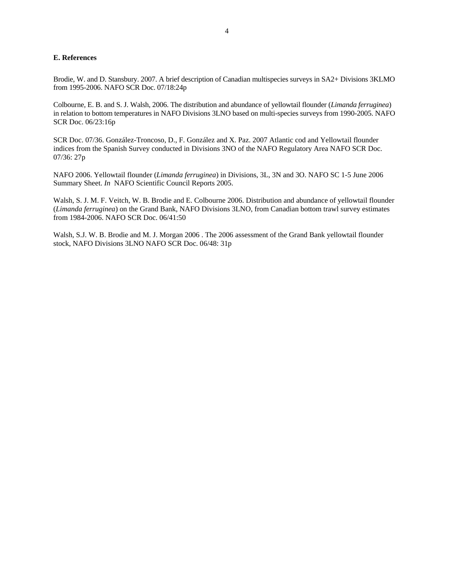# **E. References**

Brodie, W. and D. Stansbury. 2007. A brief description of Canadian multispecies surveys in SA2+ Divisions 3KLMO from 1995-2006. NAFO SCR Doc. 07/18:24p

Colbourne, E. B. and S. J. Walsh, 2006. The distribution and abundance of yellowtail flounder (*Limanda ferruginea*) in relation to bottom temperatures in NAFO Divisions 3LNO based on multi-species surveys from 1990-2005. NAFO SCR Doc. 06/23:16p

SCR Doc. 07/36. González-Troncoso, D., F. González and X. Paz. 2007 Atlantic cod and Yellowtail flounder indices from the Spanish Survey conducted in Divisions 3NO of the NAFO Regulatory Area NAFO SCR Doc. 07/36: 27p

NAFO 2006. Yellowtail flounder (*Limanda ferruginea*) in Divisions, 3L, 3N and 3O. NAFO SC 1-5 June 2006 Summary Sheet. *In* NAFO Scientific Council Reports 2005.

Walsh, S. J. M. F. Veitch, W. B. Brodie and E. Colbourne 2006. Distribution and abundance of yellowtail flounder (*Limanda ferruginea*) on the Grand Bank, NAFO Divisions 3LNO, from Canadian bottom trawl survey estimates from 1984-2006. NAFO SCR Doc. 06/41:50

Walsh, S.J. W. B. Brodie and M. J. Morgan 2006 . The 2006 assessment of the Grand Bank yellowtail flounder stock, NAFO Divisions 3LNO NAFO SCR Doc. 06/48: 31p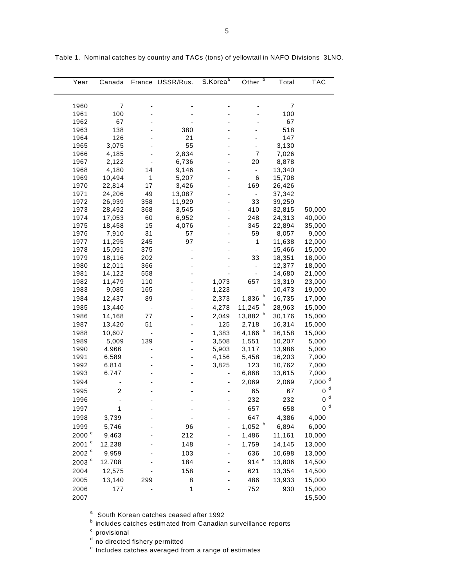| Year                | Canada   |     | France USSR/Rus. | S.Korea <sup>a</sup> | b<br>Other           | Total     | <b>TAC</b>         |
|---------------------|----------|-----|------------------|----------------------|----------------------|-----------|--------------------|
|                     |          |     |                  |                      |                      |           |                    |
|                     |          |     |                  |                      |                      |           |                    |
| 1960                | 7<br>100 |     |                  |                      |                      | 7         |                    |
| 1961<br>1962        | 67       |     |                  |                      |                      | 100<br>67 |                    |
| 1963                | 138      |     | 380              |                      |                      | 518       |                    |
| 1964                | 126      |     | 21               |                      |                      | 147       |                    |
| 1965                | 3,075    |     | 55               |                      |                      | 3,130     |                    |
| 1966                | 4,185    |     | 2,834            |                      | 7                    | 7,026     |                    |
| 1967                | 2,122    |     | 6,736            |                      | 20                   | 8,878     |                    |
| 1968                | 4,180    | 14  | 9,146            |                      | $\frac{1}{2}$        | 13,340    |                    |
| 1969                | 10,494   | 1   | 5,207            |                      | 6                    | 15,708    |                    |
| 1970                | 22,814   | 17  | 3,426            |                      | 169                  | 26,426    |                    |
| 1971                | 24,206   | 49  | 13,087           |                      |                      | 37,342    |                    |
| 1972                | 26,939   | 358 | 11,929           |                      | 33                   | 39,259    |                    |
| 1973                | 28,492   | 368 | 3,545            |                      | 410                  | 32,815    | 50,000             |
| 1974                | 17,053   | 60  | 6,952            |                      | 248                  | 24,313    | 40,000             |
| 1975                | 18,458   | 15  | 4,076            |                      | 345                  | 22,894    | 35,000             |
| 1976                | 7,910    | 31  | 57               |                      | 59                   | 8,057     | 9,000              |
| 1977                | 11,295   | 245 | 97               |                      | 1                    | 11,638    | 12,000             |
| 1978                | 15,091   | 375 |                  |                      | $\blacksquare$       | 15,466    | 15,000             |
| 1979                | 18,116   | 202 |                  |                      | 33                   | 18,351    | 18,000             |
| 1980                | 12,011   | 366 |                  |                      | $\frac{1}{2}$        | 12,377    | 18,000             |
| 1981                | 14,122   | 558 |                  |                      |                      | 14,680    | 21,000             |
| 1982                | 11,479   | 110 |                  | 1,073                | 657                  | 13,319    | 23,000             |
| 1983                | 9,085    | 165 |                  | 1,223                |                      | 10,473    | 19,000             |
| 1984                | 12,437   | 89  |                  | 2,373                | $\mathbf b$<br>1,836 | 16,735    | 17,000             |
| 1985                | 13,440   |     |                  | 4,278                | 11,245               | 28,963    | 15,000             |
| 1986                | 14,168   | 77  |                  | 2,049                | 13,882 b             | 30,176    | 15,000             |
| 1987                | 13,420   | 51  |                  | 125                  | 2,718                | 16,314    | 15,000             |
| 1988                | 10,607   |     |                  | 1,383                | 4,166 $b$            | 16,158    | 15,000             |
| 1989                | 5,009    | 139 |                  | 3,508                | 1,551                | 10,207    | 5,000              |
| 1990                | 4,966    |     |                  | 5,903                | 3,117                | 13,986    | 5,000              |
| 1991                | 6,589    |     |                  | 4,156                | 5,458                | 16,203    | 7,000              |
| 1992                | 6,814    |     |                  | 3,825                | 123                  | 10,762    | 7,000              |
| 1993                | 6,747    |     |                  |                      | 6,868                | 13,615    | 7,000              |
| 1994                |          |     |                  |                      | 2,069                | 2,069     | 7,000 <sup>d</sup> |
| 1995                | 2        |     |                  |                      | 65                   | 67        | d<br>0             |
| 1996                |          |     |                  |                      | 232                  | 232       | d<br>0             |
| 1997                | 1        |     |                  |                      | 657                  | 658       | $\alpha$<br>0      |
| 1998                | 3,739    |     |                  |                      | 647                  | 4,386     | 4,000              |
| 1999                | 5,746    |     | 96               |                      | 1,052 $b$            | 6,894     | 6,000              |
| $2000$ $\degree$    | 9,463    |     | 212              |                      | 1,486                | 11,161    | 10,000             |
| 2001 °              | 12,238   |     | 148              |                      | 1,759                | 14,145    | 13,000             |
| 2002 °              | 9,959    |     | 103              |                      | 636                  | 10,698    | 13,000             |
| $2003$ <sup>c</sup> | 12,708   |     | 184              |                      | 914 $e$              | 13,806    | 14,500             |
|                     |          |     | 158              |                      |                      | 13,354    |                    |
| 2004                | 12,575   |     |                  |                      | 621                  |           | 14,500             |
| 2005                | 13,140   | 299 | 8                |                      | 486                  | 13,933    | 15,000             |
| 2006                | 177      |     | 1                |                      | 752                  | 930       | 15,000             |
| 2007                |          |     |                  |                      |                      |           | 15,500             |

Table 1. Nominal catches by country and TACs (tons) of yellowtail in NAFO Divisions 3LNO.

<sup>a</sup> South Korean catches ceased after 1992

**b** includes catches estimated from Canadian surveillance reports

 $c$  provisional

<sup>d</sup> no directed fishery permitted

<sup>e</sup> Includes catches averaged from a range of estimates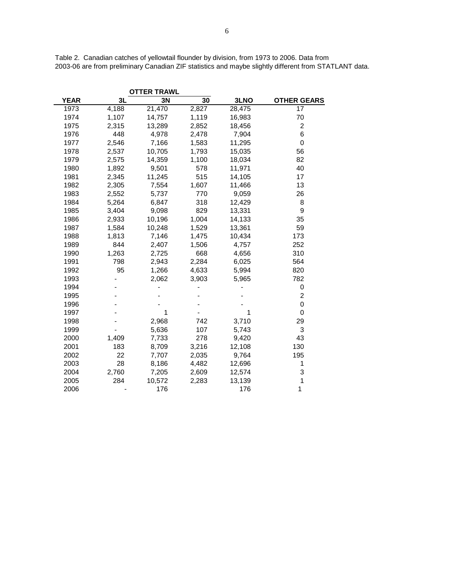|             |       | <b>OTTER TRAWL</b> |                 |        |                    |
|-------------|-------|--------------------|-----------------|--------|--------------------|
| <b>YEAR</b> | 3L    | 3N                 | $\overline{30}$ | 3LNO   | <b>OTHER GEARS</b> |
| 1973        | 4,188 | 21,470             | 2,827           | 28,475 | 17                 |
| 1974        | 1,107 | 14,757             | 1,119           | 16,983 | 70                 |
| 1975        | 2,315 | 13,289             | 2,852           | 18,456 | 2                  |
| 1976        | 448   | 4,978              | 2,478           | 7,904  | 6                  |
| 1977        | 2,546 | 7,166              | 1,583           | 11,295 | 0                  |
| 1978        | 2,537 | 10,705             | 1,793           | 15,035 | 56                 |
| 1979        | 2,575 | 14,359             | 1,100           | 18,034 | 82                 |
| 1980        | 1,892 | 9,501              | 578             | 11,971 | 40                 |
| 1981        | 2,345 | 11,245             | 515             | 14,105 | 17                 |
| 1982        | 2,305 | 7,554              | 1,607           | 11,466 | 13                 |
| 1983        | 2,552 | 5,737              | 770             | 9,059  | 26                 |
| 1984        | 5,264 | 6,847              | 318             | 12,429 | 8                  |
| 1985        | 3,404 | 9,098              | 829             | 13,331 | 9                  |
| 1986        | 2,933 | 10,196             | 1,004           | 14,133 | 35                 |
| 1987        | 1,584 | 10,248             | 1,529           | 13,361 | 59                 |
| 1988        | 1,813 | 7,146              | 1,475           | 10,434 | 173                |
| 1989        | 844   | 2,407              | 1,506           | 4,757  | 252                |
| 1990        | 1,263 | 2,725              | 668             | 4,656  | 310                |
| 1991        | 798   | 2,943              | 2,284           | 6,025  | 564                |
| 1992        | 95    | 1,266              | 4,633           | 5,994  | 820                |
| 1993        |       | 2,062              | 3,903           | 5,965  | 782                |
| 1994        |       |                    |                 |        | 0                  |
| 1995        |       |                    |                 |        | $\overline{c}$     |
| 1996        |       |                    |                 |        | 0                  |
| 1997        |       | 1                  |                 | 1      | 0                  |
| 1998        |       | 2,968              | 742             | 3,710  | 29                 |
| 1999        |       | 5,636              | 107             | 5,743  | 3                  |
| 2000        | 1,409 | 7,733              | 278             | 9,420  | 43                 |
| 2001        | 183   | 8,709              | 3,216           | 12,108 | 130                |
| 2002        | 22    | 7,707              | 2,035           | 9,764  | 195                |
| 2003        | 28    | 8,186              | 4,482           | 12,696 | 1                  |
| 2004        | 2,760 | 7,205              | 2,609           | 12,574 | 3                  |
| 2005        | 284   | 10,572             | 2,283           | 13,139 | 1                  |
| 2006        |       | 176                |                 | 176    | 1                  |

Table 2. Canadian catches of yellowtail flounder by division, from 1973 to 2006. Data from 2003-06 are from preliminary Canadian ZIF statistics and maybe slightly different from STATLANT data.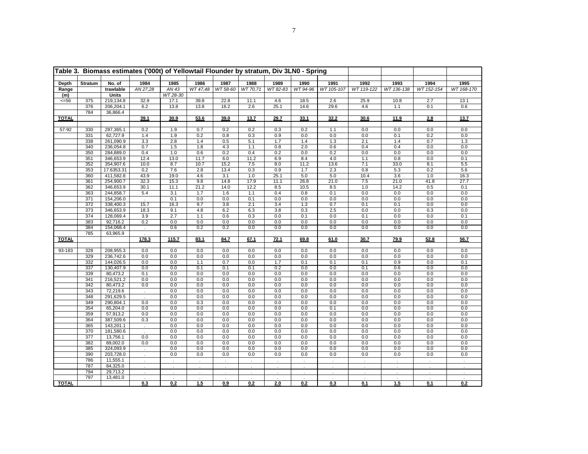|              | Table 3. Biomass estimates ('000t) of Yellowtail Flounder by stratum, Div 3LN0 - Spring |                    |                             |                     |            |                             |             |                             |               |                    |                             |            |                      |                    |
|--------------|-----------------------------------------------------------------------------------------|--------------------|-----------------------------|---------------------|------------|-----------------------------|-------------|-----------------------------|---------------|--------------------|-----------------------------|------------|----------------------|--------------------|
|              |                                                                                         |                    |                             | 1985                | 1986       |                             |             |                             |               |                    |                             |            |                      |                    |
| <b>Depth</b> | <b>Stratum</b>                                                                          | No. of             | 1984                        |                     |            | 1987                        | 1988        | 1989                        | 1990          | 1991<br>WT 105-107 | 1992<br>WT 119-122          | 1993       | 1994                 | 1995<br>WT 168-170 |
| Range        |                                                                                         | trawlable          | AN 27,28                    | AN 43<br>WT 28-30   | WT 47,48   | WT 58-60                    | WT 70,71    | WT 82-83                    | WT 94-96      |                    |                             | WT 136-138 | WT 152-154           |                    |
| (m)          | 375                                                                                     | Units<br>219,134.8 | 32.9                        |                     | 39.8       | 22.8                        |             | 4.6                         | 18.5          | 2.6                | 25.9                        | 10.8       | 2.7                  | 13.1               |
| $<=56$       | 376                                                                                     | 206,204.1          | 6.2                         | 17.1<br>13.8        | 13.8       | 16.2                        | 11.1<br>2.6 | 25.1                        | 14.6          | 29.6               | 4.6                         | 1.1        | 0.1                  | 0.6                |
|              | 784                                                                                     | 36,866.4           |                             |                     |            |                             |             |                             |               |                    |                             |            |                      |                    |
| <b>TOTAL</b> |                                                                                         |                    | 39.1                        | 30.9                | 53.6       | 39.0                        | 13.7        | 29.7                        | 33.1          | 32.2               | 30.6                        | 11.9       | 2.8                  | 13.7               |
|              |                                                                                         |                    |                             |                     |            |                             |             |                             |               |                    |                             |            |                      |                    |
| $57-92$      | 330                                                                                     | 287,365.1          | 0.2                         | 1.9                 | 0.7        | 0.2                         | 0.2         | 0.3                         | 0.2           | 1.1                | 0.0                         | 0.0        | 0.0                  | 0.0                |
|              | 331                                                                                     | 62,727.9           | 1.4                         | 1.9                 | 0.2        | 0.8                         | 0.3         | 0.9                         | 0.0           | 0.0                | 0.0                         | 0.1        | 0.2                  | 0.0                |
|              | 338                                                                                     | 261,090.9          | 3.3                         | 2.8                 | 1.4        | 0.5                         | 5.1         | 1.7                         | 1.4           | 1.3                | 2.1                         | 1.4        | 0.7                  | 1.3                |
|              | 340                                                                                     | 236,054.8          | 0.7                         | 1.5                 | 1.8        | 4.3                         | 1.1         | 0.8                         | 2.0           | 0.6                | 0.4                         | 0.4        | 0.0                  | 0.0                |
|              | 350                                                                                     | 284,889.0          | 0.4                         | 1.0                 | 0.6        | 0.2                         | 0.4         | 0.2                         | 0.0           | 0.2                | 0.0                         | 0.0        | 0.0                  | 0.0                |
|              | 351                                                                                     | 346,653.9          | 12.4                        | 13.0                | 11.7       | 6.0                         | 11.2        | 6.9                         | 8.4           | 4.0                | 1.1                         | 0.8        | 0.0                  | 0.1                |
|              | 352                                                                                     | 354,907.6          | 10.0                        | 8.7                 | 10.7       | 15.2                        | 7.5         | 8.0                         | 11.2          | 13.6               | 7.1                         | 33.0       | 8.1                  | 5.5                |
|              | 353                                                                                     | 17.6353.31         | 0.2                         | 7.6                 | 2.8        | 13.4                        | 0.3         | 0.9                         | 1.7           | 2.3                | 0.8                         | 5.3        | 0.2                  | 5.6                |
|              | 360                                                                                     | 411,582.8          | 43.9                        | 19.0                | 4.6        | 3.1                         | 1.0         | 25.1                        | 5.0           | 5.0                | 10.4                        | 3.6        | 1.0                  | 16.3               |
|              | 361                                                                                     | 254,900.7          | 32.3                        | 15.3                | 9.8        | 14.8                        | 17.9        | 11.1                        | 26.8          | 21.0               | 7.5                         | 21.0       | 41.8                 | 27.7               |
|              | 362                                                                                     | 346,653.9          | 30.1                        | 11.1                | 21.2       | 14.0                        | 12.2        | 8.5                         | 10.5          | 8.5                | 1.0                         | 14.2       | 0.5                  | 0.1                |
|              | 363                                                                                     | 244,858.7          | 5.4                         | 3.1                 | 1.7        | 1.6                         | 1.1         | 0.4                         | 0.8           | 0.1                | 0.0                         | 0.0        | 0.0                  | 0.0                |
|              | 371                                                                                     | 154,206.0          | $\sim$                      | 0.1                 | 0.0        | 0.0                         | 0.1         | 0.0                         | 0.0           | 0.0                | 0.0                         | 0.0        | 0.0                  | 0.0                |
|              | 372                                                                                     | 338,400.3          | 15.7                        | 16.3                | 9.7        | 3.8                         | 2.1         | 3.4                         | 1.3           | 0.7                | 0.1                         | 0.1        | 0.0                  | 0.0                |
|              | 373                                                                                     | 346,653.9          | 18.3                        | 9.1                 | 4.8        | 6.2                         | 6.3         | 3.8                         | 0.3           | 2.5                | 0.0                         | 0.0        | 0.3                  | 0.0                |
|              | 374                                                                                     | 128,069.4          | 3.9                         | 2.7                 | 1.1        | 0.6                         | 0.3         | 0.0                         | 0.1           | 0.0                | 0.1                         | 0.0        | 0.0                  | 0.1                |
|              | 383                                                                                     | 92,716.2           | 0.2                         | 0.0                 | 0.0        | 0.0                         | 0.0         | 0.0                         | 0.0           | 0.0                | 0.0                         | 0.0        | 0.0                  | 0.0                |
|              | 384                                                                                     | 154,068.4          | $\mathcal{L}_{\mathcal{A}}$ | 0.6                 | 0.2        | 0.2                         | 0.0         | 0.0                         | 0.0           | 0.0                | 0.0                         | 0.0        | 0.0                  | 0.0                |
|              | 785                                                                                     | 63,965.9           | $\mathcal{L}^{\mathcal{L}}$ |                     |            |                             |             |                             |               |                    |                             |            |                      |                    |
| <b>TOTAL</b> |                                                                                         |                    | 178.3                       | 115.7               | 83.1       | 84.7                        | 67.1        | 72.1                        | 69.8          | 61.0               | 30.7                        | 79.9       | 52.8                 | 56.7               |
| 93-183       | 328                                                                                     | 208,955.3          | 0.0                         | 0.0                 | 0.0        | 0.0                         | 0.0         | 0.0                         | 0.0           | 0.0                | 0.0                         | 0.0        | 0.0                  | 0.0                |
|              | 329                                                                                     | 236,742.6          | 0.0                         | 0.0                 | 0.0        | 0.0                         | 0.0         | 0.0                         | 0.0           | 0.0                | 0.0                         | 0.0        | 0.0                  | 0.0                |
|              | 332                                                                                     | 144,026.5          | 0.0                         | 0.0                 | 1.1        | 0.7                         | 0.0         | 1.7                         | 0.1           | 0.1                | 0.1                         | 0.9        | 0.0                  | 0.1                |
|              | 337                                                                                     | 130,407.9          | 0.0                         | 0.0                 | 0.1        | 0.1                         | 0.1         | 0.2                         | 0.0           | 0.0                | 0.1                         | 0.6        | 0.0                  | 0.0                |
|              | 339                                                                                     | 80,473.2           | 0.1                         | 0.0                 | 0.0        | 0.0                         | 0.0         | 0.0                         | 0.0           | 0.0                | 0.0                         | 0.0        | 0.0                  | 0.0                |
|              | 341                                                                                     | 216,521.2          | 0.0                         | 0.0                 | 0.0        | 0.0                         | 0.0         | 0.0                         | 0.0           | 0.0                | 0.0                         | 0.0        | 0.0                  | 0.0                |
|              | 342                                                                                     | 80,473.2           | 0.0                         | 0.0                 | 0.0        | 0.0                         | 0.0         | 0.0                         | 0.0           | 0.0                | 0.0                         | 0.0        | 0.0                  | 0.0                |
|              | 343                                                                                     | 72,219.6           | $\mathcal{L}^{\mathcal{A}}$ | 0.0                 | 0.0        | 0.0                         | 0.0         | 0.0                         | 0.0           | 0.0                | 0.0                         | 0.0        | 0.0                  | 0.0                |
|              | 348                                                                                     | 291,629.5          | $\mathbf{r}$                | 0.0                 | 0.0        | 0.0                         | 0.0         | 0.0                         | 0.0           | 0.0                | 0.0                         | 0.0        | 0.0                  | 0.0                |
|              | 349                                                                                     | 290,804.1          | 0.0                         | 0.0                 | 0.3        | 0.0                         | 0.0         | 0.0                         | 0.0           | 0.0                | 0.0                         | 0.0        | 0.0                  | 0.0                |
|              | 354                                                                                     | 65,204.0           | 0.0                         | 0.0                 | 0.0        | 0.0                         | 0.0         | 0.0                         | 0.0           | 0.1                | 0.0                         | 0.0        | 0.0                  | 0.0                |
|              | 359                                                                                     | 57,913.2           | 0.0                         | 0.0                 | 0.0        | 0.0                         | 0.0         | 0.0                         | 0.0           | 0.0                | 0.0                         | 0.0        | 0.0                  | 0.0                |
|              | 364                                                                                     | 387,509.6          | 0.3                         | 0.0                 | 0.0        | 0.0                         | 0.0         | 0.0                         | 0.0           | 0.0                | 0.0                         | 0.0        | 0.0                  | 0.0                |
|              | 365                                                                                     | 143,201.1          | $\sim$                      | 0.0                 | 0.0        | 0.0                         | 0.0         | 0.0                         | 0.0           | 0.0                | 0.0                         | 0.0        | 0.0                  | 0.0                |
|              | 370                                                                                     | 181,580.6          |                             | 0.0                 | 0.0        | 0.0                         | 0.0         | 0.0                         | 0.0           | 0.0                | 0.0                         | 0.0        | 0.0                  | 0.0                |
|              | 377                                                                                     | 13,756.1           | 0.0                         | 0.0                 | 0.0        | 0.0                         | 0.0         | 0.0                         | 0.0           | 0.0                | 0.0                         | 0.0        | 0.0                  | 0.0                |
|              | 382                                                                                     | 89,002.0           | 0.0                         | 0.0                 | 0.0        | 0.0                         | 0.0         | 0.0                         | 0.0           | 0.0                | 0.0                         | 0.0        | 0.0                  | 0.0                |
|              | 385                                                                                     | 324,093.9          |                             | 0.0                 | 0.0        | 0.0                         | 0.0         | 0.0                         | 0.0           | 0.0                | 0.0                         | 0.0        | 0.0                  | 0.0                |
|              | 390                                                                                     | 203,728.0          | $\mathcal{L}_{\mathcal{A}}$ | 0.0                 | 0.0        | 0.0                         | 0.0         | 0.0                         | 0.0           | 0.0                | 0.0                         | 0.0        | 0.0                  | 0.0                |
|              | 786                                                                                     | 11,555.1           | $\sim$                      | $\sim$              | $\sim$     | $\sim$                      | $\sim$      | $\sim$                      | $\sim$        | $\sim$             | $\epsilon$                  | $\sim$     | $\sim$               | $\cdot$            |
|              | 787                                                                                     | 84,325.0           | $\epsilon$                  | $\sim$              | $\bullet$  | $\sim$                      | $\cdot$     | $\sim$                      | $\sim$        | $\sim$             | $\bullet$                   | $\cdot$    | $\cdot$              | $\bullet$          |
|              | 794                                                                                     | 29,713.2           | $\mathbf{r}$                | $\mathcal{L}^{\pm}$ | $\epsilon$ | $\mathcal{L}_{\mathcal{A}}$ |             | $\mathcal{L}^{\mathcal{L}}$ | $\mathcal{L}$ |                    | $\mathcal{L}^{\mathcal{L}}$ |            | $\ddot{\phantom{a}}$ |                    |
|              | 797                                                                                     | 13,481.0           |                             |                     |            |                             |             |                             |               |                    |                             |            |                      |                    |
| <b>TOTAL</b> |                                                                                         |                    | 0.3                         | 0.2                 | 1.5        | 0.9                         | 0.2         | 2.0                         | 0.2           | 0.3                | 0.1                         | 1.5        | 0.1                  | 0.2                |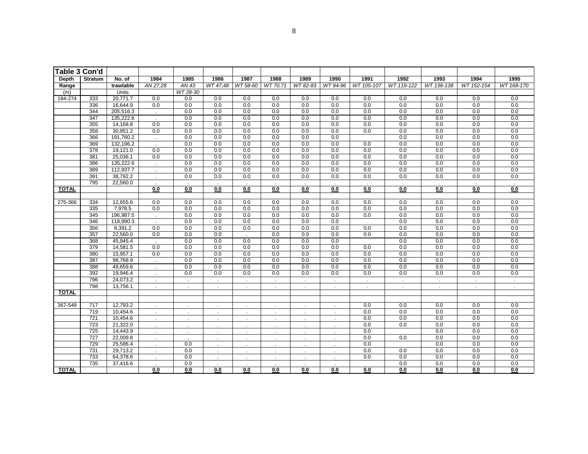| Table 3 Con'd |                  |              |                             |                          |                      |                     |                      |                             |            |              |                |                |            |            |
|---------------|------------------|--------------|-----------------------------|--------------------------|----------------------|---------------------|----------------------|-----------------------------|------------|--------------|----------------|----------------|------------|------------|
| Depth         | <b>Stratum</b>   | No. of       | 1984                        | 1985                     | 1986                 | 1987                | 1988                 | 1989                        | 1990       | 1991         | 1992           | 1993           | 1994       | 1995       |
| Range         |                  | trawlable    | AN 27,28                    | AN 43                    | WT 47,48             | WT 58-60            | WT 70.71             | WT 82-83                    | WT 94-96   | WT 105-107   | WT 119-122     | WT 136-138     | WT 152-154 | WT 168-170 |
| (m)           |                  | <b>Units</b> |                             | WT 28-30                 |                      |                     |                      |                             |            |              |                |                |            |            |
| 184-274       | 333              | 20,771.7     | 0.0                         | 0.0                      | 0.0                  | 0.0                 | 0.0                  | 0.0                         | 0.0        | 0.0          | 0.0            | 0.0            | 0.0        | 0.0        |
|               | 336              | 16,644.9     | 0.0                         | 0.0                      | 0.0                  | 0.0                 | 0.0                  | 0.0                         | 0.0        | 0.0          | 0.0            | 0.0            | 0.0        | 0.0        |
|               | 344              | 205,516.3    | $\mathcal{L}^{\mathcal{L}}$ | 0.0                      | $\overline{0.0}$     | 0.0                 | 0.0                  | 0.0                         | 0.0        | 0.0          | 0.0            | 0.0            | 0.0        | 0.0        |
|               | 347              | 135,222.6    | $\mathcal{L}$               | 0.0                      | 0.0                  | 0.0                 | 0.0                  | 0.0                         | 0.0        | 0.0          | 0.0            | 0.0            | 0.0        | 0.0        |
|               | 355              | 14,168.8     | 0.0                         | 0.0                      | 0.0                  | 0.0                 | 0.0                  | 0.0                         | 0.0        | 0.0          | 0.0            | 0.0            | 0.0        | 0.0        |
|               | 358              | 30,951.2     | 0.0                         | 0.0                      | 0.0                  | 0.0                 | 0.0                  | 0.0                         | 0.0        | 0.0          | 0.0            | 0.0            | 0.0        | 0.0        |
|               | 366              | 191,760.2    | $\mathbb{R}^2$              | 0.0                      | 0.0                  | 0.0                 | 0.0                  | 0.0                         | 0.0        |              | 0.0            | 0.0            | 0.0        | 0.0        |
|               | 369              | 132,196.2    | $\mathcal{L}^{\mathcal{L}}$ | 0.0                      | 0.0                  | 0.0                 | 0.0                  | 0.0                         | 0.0        | 0.0          | 0.0            | 0.0            | 0.0        | 0.0        |
|               | 378              | 19,121.0     | 0.0                         | 0.0                      | 0.0                  | 0.0                 | 0.0                  | 0.0                         | 0.0        | 0.0          | 0.0            | 0.0            | 0.0        | 0.0        |
|               | 381              | 25,036.1     | 0.0                         | 0.0                      | 0.0                  | 0.0                 | 0.0                  | 0.0                         | 0.0        | 0.0          | 0.0            | 0.0            | 0.0        | 0.0        |
|               | 386              | 135,222.6    | ÷.                          | 0.0                      | 0.0                  | 0.0                 | 0.0                  | 0.0                         | 0.0        | 0.0          | 0.0            | 0.0            | 0.0        | 0.0        |
|               | 389              | 112,937.7    | $\sim$                      | 0.0                      | 0.0                  | 0.0                 | 0.0                  | 0.0                         | 0.0        | 0.0          | 0.0            | 0.0            | 0.0        | 0.0        |
|               | 391              | 38,792.2     |                             | 0.0                      | 0.0                  | 0.0                 | 0.0                  | 0.0                         | 0.0        | 0.0          | 0.0            | 0.0            | 0.0        | 0.0        |
| <b>TOTAL</b>  | 795              | 22,560.0     | 0.0                         | 0.0                      | 0.0                  | 0.0                 |                      | 0.0                         | 0.0        |              |                | 0.0            |            | 0.0        |
|               |                  |              |                             |                          |                      |                     | 0.0                  |                             |            | 0.0          | 0.0            |                | $0.0\,$    |            |
| 275-366       | 334              | 12,655.6     | 0.0                         | 0.0                      | 0.0                  | 0.0                 | 0.0                  | 0.0                         | 0.0        | 0.0          | 0.0            | 0.0            | 0.0        | 0.0        |
|               | 335              | 7,978.5      | 0.0                         | 0.0                      | 0.0                  | 0.0                 | 0.0                  | 0.0                         | 0.0        | 0.0          | 0.0            | 0.0            | 0.0        | 0.0        |
|               | 345              | 196,987.5    | $\epsilon$                  | 0.0                      | 0.0                  | 0.0                 | 0.0                  | 0.0                         | 0.0        | 0.0          | 0.0            | 0.0            | 0.0        | 0.0        |
|               | 346              | 118,990.3    |                             | 0.0                      | 0.0                  | 0.0                 | 0.0                  | 0.0                         | 0.0        |              | 0.0            | 0.0            | 0.0        | 0.0        |
|               | 356              | 8,391.2      | 0.0                         | 0.0                      | 0.0                  | 0.0                 | 0.0                  | 0.0                         | 0.0        | 0.0          | 0.0            | 0.0            | 0.0        | 0.0        |
|               | 357              | 22,560.0     | 0.0                         | 0.0                      | 0.0                  |                     | 0.0                  | 0.0                         | 0.0        | 0.0          | 0.0            | 0.0            | 0.0        | 0.0        |
|               | 368              | 45,945.4     |                             | 0.0                      | 0.0                  | 0.0                 | 0.0                  | 0.0                         | 0.0        |              | 0.0            | 0.0            | 0.0        | 0.0        |
|               | 379              | 14,581.5     | 0.0                         | 0.0                      | 0.0                  | 0.0                 | 0.0                  | 0.0                         | 0.0        | 0.0          | 0.0            | 0.0            | 0.0        | 0.0        |
|               | 380              | 15,957.1     | 0.0                         | 0.0                      | 0.0                  | 0.0                 | 0.0                  | 0.0                         | 0.0        | 0.0          | 0.0            | 0.0            | 0.0        | 0.0        |
|               | 387              | 98,768.9     | $\mathcal{L}^{\pm}$         | 0.0                      | 0.0                  | 0.0                 | 0.0                  | 0.0                         | 0.0        | 0.0          | 0.0            | 0.0            | 0.0        | 0.0        |
|               | 388              | 49,659.6     | $\mathbf{r}$                | 0.0                      | 0.0                  | 0.0                 | 0.0                  | 0.0                         | 0.0        | 0.0          | 0.0            | 0.0            | 0.0        | 0.0        |
|               | 392              | 19,946.4     | $\sim$                      | 0.0                      | 0.0                  | 0.0                 | 0.0                  | 0.0                         | 0.0        | 0.0          | 0.0            | 0.0            | 0.0        | 0.0        |
|               | 796              | 24,073.2     | ÷.                          | ä.                       | $\bullet$            | $\bullet$           | $\bullet$            | $\sim$                      | $\epsilon$ | $\mathbf{r}$ | $\blacksquare$ | $\blacksquare$ | $\cdot$    | $\cdot$    |
|               | 798              | 13,756.1     |                             | ÷.                       |                      | $\mathbf{r}$ .      |                      |                             |            |              | $\sim$         | $\mathbf{r}$   |            | $\sim$     |
| <b>TOTAL</b>  |                  |              |                             |                          |                      |                     |                      |                             |            |              |                |                |            |            |
| 367-549       | 717              | 12,793.2     |                             |                          |                      |                     |                      |                             |            | 0.0          | 0.0            | 0.0            | 0.0        | 0.0        |
|               | 719              | 10,454.6     |                             | $\mathbf{r}$             | $\epsilon$           | $\epsilon$          | $\epsilon$           | $\mathcal{L}_{\mathcal{A}}$ | $\epsilon$ | 0.0          | 0.0            | 0.0            | 0.0        | 0.0        |
|               | $\overline{721}$ | 10,454.6     |                             |                          |                      |                     |                      | $\sim$                      |            | 0.0          | 0.0            | 0.0            | 0.0        | 0.0        |
|               | 723              | 21,322.0     | $\epsilon$<br>$\epsilon$    | $\epsilon$<br>$\epsilon$ | $\epsilon$<br>$\sim$ | $\bullet$<br>$\sim$ | $\cdot$<br>$\bullet$ | $\sim$<br>$\sim$            | $\cdot$    | 0.0          | 0.0            | 0.0            | 0.0        | 0.0        |
|               | 725              | 14,443.9     | $\sim$                      | $\mathcal{L}^{\pm}$      | $\mathcal{L}$        | $\sim$              | $\sim$               | $\sim$                      | ÷.         | 0.0          |                | 0.0            | 0.0        | 0.0        |
|               | 727              | 22,009.8     | $\mathbf{r}$                | ÷.                       | $\mathbf{r}$         | $\sim$              | $\epsilon$           | ÷.                          | $\epsilon$ | 0.0          | 0.0            | 0.0            | 0.0        | 0.0        |
|               | 729              | 25,586.4     | $\epsilon$                  | 0.0                      | $\mathbf{r}$         | $\sim$              | $\epsilon$           | $\bullet$                   | $\sim$     | 0.0          |                | 0.0            | 0.0        | 0.0        |
|               | 731              | 29,713.2     | ÷.                          | 0.0                      | ÷.                   | $\sim$              | $\sim$               | $\sim$                      | $\sim$     | 0.0          | 0.0            | 0.0            | 0.0        | 0.0        |
|               | 733              | 64,378.6     |                             | 0.0                      | $\epsilon$           |                     |                      |                             |            | 0.0          | 0.0            | 0.0            | 0.0        | 0.0        |
|               | 735              | 37,416.6     |                             | 0.0                      |                      |                     |                      |                             |            |              | 0.0            | 0.0            | 0.0        | 0.0        |
| <b>TOTAL</b>  |                  |              | 0.0                         | 0.0                      | 0.0                  | 0.0                 | 0.0                  | 0.0                         | 0.0        | 0.0          | 0.0            | 0.0            | 0.0        | 0.0        |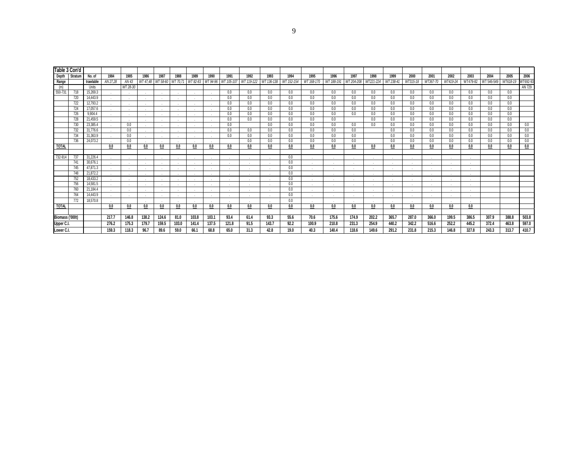| Table 3 Con'd   |         |                     |                  |               |                  |          |                  |                  |          |             |            |            |            |                    |            |                   |                   |            |            |            |          |                  |            |            |                  |
|-----------------|---------|---------------------|------------------|---------------|------------------|----------|------------------|------------------|----------|-------------|------------|------------|------------|--------------------|------------|-------------------|-------------------|------------|------------|------------|----------|------------------|------------|------------|------------------|
|                 |         |                     |                  |               |                  |          |                  |                  |          |             |            |            |            |                    |            |                   |                   |            |            |            |          |                  |            | 2005       |                  |
| Depth           | Stratum | No. of<br>trawlable | 1984<br>AN 27.28 | 1985<br>AN 43 | 1986<br>WT 47.48 | 1987     | 1988<br>WT 70.71 | 1989<br>WT 82-83 | 1990     | 1991        | 1992       | 1993       | 1994       | 1995<br>WT 168-170 | 1996       | 1997<br>WT204-208 | 1998<br>WT221-224 | 1999       | 2000       | 2001       | 2002     | 2003<br>WT479-82 | 2004       |            | 2006<br>WT692-93 |
| Range<br>(m)    |         | Units               |                  | WT 28-30      |                  | WT 58-60 |                  |                  | WT 94-96 | WT 105-107  | WT 119-122 | WT 136-138 | WT 152-154 |                    | WT 188-191 |                   |                   | WT 238-41  | WT315-18   | WT367-70   | WT419-24 |                  | WT 546-549 | WT618-19   | AN 729           |
|                 | 718     | 15.269.3            |                  |               |                  |          |                  |                  |          |             |            | 0.0        | 0.0        | 0.0                |            |                   |                   |            |            |            | 0.0      |                  |            |            |                  |
| 550-731         | 720     | 14,443.9            |                  |               |                  |          |                  |                  |          | 0.0<br>0.0  | 0.0<br>0.0 | 0.0        | 0.0        | 0.0                | 0.0<br>0.0 | 0.0<br>0.0        | 0.0<br>0.0        | 0.0<br>0.0 | 0.0<br>0.0 | 0.0<br>0.0 | 0.0      | 0.0<br>0.0       | 0.0<br>0.0 | 0.0<br>0.0 |                  |
|                 | 722     | 12,793.2            |                  |               |                  |          |                  |                  |          | 0.0         | 0.0        | 0.0        | 0.0        | 0.0                | 0.0        | 0.0               | 0.0               | 0.0        | 0.0        | 0.0        | 0.0      | 0.0              | 0.0        | 0.0        |                  |
|                 | 724     | 17,057.6            | . .              |               |                  |          |                  |                  |          | 0.0         | 0.0        | 0.0        | 0.0        | 0.0                | 0.0        | 0.0               | 0.0               | 0.0        | 0.0        | 0.0        | 0.0      | 0.0              | 0.0        | 0.0        |                  |
|                 | 726     | 9,904.4             |                  |               |                  |          |                  |                  |          | 0.0         | 0.0        | 0.0        | 0.0        | 0.0                | 0.0        | 0.0               | 0.0               | 0.0        | $0.0\,$    | 0.0        | 0.0      | 0.0              | 0.0        | 0.0        |                  |
|                 | 728     | 21.459.5            |                  |               |                  |          |                  |                  |          | 0.0         | 0.0        | 0.0        | 0.0        | 0.0                | 0.0        |                   | 0.0               | 0.0        | 0.0        | 0.0        | 0.0      | 0.0              | 0.0        | 0.0        |                  |
|                 | 730     | 23,385.4            |                  | 0.0           |                  |          |                  |                  |          | 0.0         |            | 0.0        | 0.0        | 0.0                | 0.0        | 0.0               | 0.0               | 0.0        | $0.0\,$    | 0.0        | 0.0      | 0.0              | 0.0        | 0.0        | 0.0              |
|                 | 732     | 31,776.6            |                  | 0.0           |                  |          |                  |                  |          | 0.0         | 0.0        | 0.0        | 0.0        | 0.0                | 0.0        | 0.0               |                   | 0.0        | 0.0        | $0.0\,$    | $0.0\,$  | 0.0              | 0.0        | 0.0        | 0.0              |
|                 | 734     | 31,363.9            |                  | 0.0           |                  |          |                  |                  |          | 0.0         | 0.0        | 0.0        | 0.0        | 0.0                | 0.0        | 0.0               |                   | 0.0        | 0.0        | 0.0        | 0.0      | 0.0              | 0.0        | 0.0        | 0.0              |
|                 | 736     | 24,073.2            |                  | 0.0           |                  |          |                  |                  |          |             | 0.0        | 0.0        | 0.0        | 0.0                | 0.0        | 0.0               |                   | 0.0        | $0.0\,$    | $0.0\,$    | $0.0\,$  | $0.0\,$          | $0.0\,$    | 0.0        | 0.0              |
| <b>TOTAL</b>    |         |                     | 0.0              | 0.0           | 0.0              | 0.0      | 0.0              | 0.0              | 0.0      | 0.0         | 0.0        | 0.0        | 0.0        | 0.0                | 0.0        | 0.0               | 0.0               | 0.0        | 0.0        | 0.0        | 0.0      | 0.0              | 0.0        | 0.0        | 0.0              |
|                 |         |                     |                  |               |                  |          |                  |                  |          |             |            |            |            |                    |            |                   |                   |            |            |            |          |                  |            |            |                  |
| 732-914         | 737     | 31,226.4            |                  |               |                  |          |                  |                  |          |             | . .        |            | 0.0        |                    |            |                   |                   |            |            |            |          |                  |            |            |                  |
|                 | 741     | 30,676.1            |                  |               | 14               |          |                  |                  |          | 14.         |            |            | 0.0        | <b>A</b>           |            |                   |                   |            |            |            |          |                  |            |            |                  |
|                 | 745     | 47,871.3            |                  |               |                  |          | . .              |                  |          | <b>1999</b> | . .        |            | 0.0        |                    |            |                   |                   |            |            |            |          |                  |            |            |                  |
|                 | 748     | 21,872.2            |                  |               |                  |          |                  |                  |          |             |            |            | 0.0        | 14                 |            |                   |                   |            |            |            |          |                  |            |            |                  |
|                 | 752     | 18,433.2            |                  |               |                  |          | - 11             | $\sim$           |          | . н.        | . .        | . н.       | 0.0        | <b>Section</b>     |            | . .               |                   |            |            |            |          |                  |            |            |                  |
|                 | 756     | 14,581.5            |                  |               |                  |          |                  |                  |          |             |            |            | 0.0        | $\sim$             |            |                   |                   |            |            |            |          |                  |            |            |                  |
|                 | 760     | 21,184.4            |                  |               |                  |          |                  |                  |          |             |            |            | 0.0        | <b>A</b>           |            |                   |                   |            |            |            |          |                  |            |            |                  |
|                 | 764     | 14,443.9            |                  |               |                  |          |                  |                  |          |             |            |            | 0.0        | $\sim$             |            |                   |                   |            |            |            |          |                  |            |            |                  |
|                 | 772     | 18,570.8            |                  |               |                  |          |                  |                  |          |             | . .        |            | 0.0        |                    |            |                   |                   |            |            |            |          |                  |            |            |                  |
| <b>TOTAL</b>    |         |                     | 0.0              | 0.0           | 0.0              | 0.0      | 0.0              | 0.0              | 0.0      | 0.0         | 0.0        | 0.0        | 0.0        | 0.0                | 0.0        | 0.0               | 0.0               | 0.0        | 0.0        | 0.0        | 0.0      | 0.0              |            |            |                  |
|                 |         |                     |                  |               |                  |          |                  |                  |          |             |            |            |            |                    |            |                   |                   |            |            |            |          |                  |            |            |                  |
| Biomass ('000t) |         |                     | 217.7            | 146.8         | 138.2            | 124.6    | 81.0             | 103.8            | 103.1    | 93.4        | 61.4       | 93.3       | 55.6       | 70.6               | 175.6      | 174.9             | 202.2             | 365.7      | 287.0      | 366.0      | 199.5    | 386.5            | 307.9      | 388.8      | 503.8            |
| Upper C.I       |         |                     | 276.2            | 175.3         | 179.7            | 159.5    | 103.0            | 141.4            | 137.5    | 121.8       | 91.5       | 143.7      | 92.2       | 100.9              | 210.8      | 231.3             | 254.9             | 440.2      | 342.2      | 516.6      | 252.2    | 445.2            | 372.4      | 463.8      | 597.0            |
| Lower C.I.      |         |                     | 159.3            | 118.3         | 96.7             | 89.6     | 59.0             | 66.1             | 68.8     | 65.0        | 31.3       | 42.8       | 19.0       | 40.3               | 140.4      | 118.6             | 149.6             | 291.2      | 231.8      | 215.3      | 146.8    | 327.8            | 243.3      | 313.7      | 410.7            |
|                 |         |                     |                  |               |                  |          |                  |                  |          |             |            |            |            |                    |            |                   |                   |            |            |            |          |                  |            |            |                  |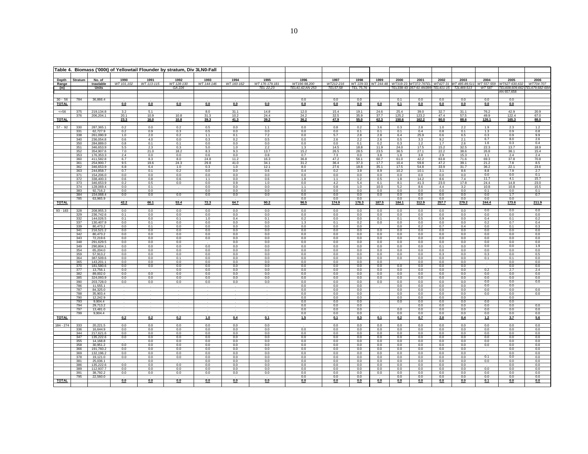|                           |            |                        |                    |                    | Table 4. Biomass ('000t) of Yellowtail Flounder by stratum, Div 3LN0-Fall |                    |                    |                        |                      |                   |                   |                   |                  |                     |                  |                                             |                    |                              |                   |
|---------------------------|------------|------------------------|--------------------|--------------------|---------------------------------------------------------------------------|--------------------|--------------------|------------------------|----------------------|-------------------|-------------------|-------------------|------------------|---------------------|------------------|---------------------------------------------|--------------------|------------------------------|-------------------|
|                           |            |                        |                    |                    |                                                                           |                    |                    |                        |                      |                   |                   |                   |                  |                     |                  |                                             |                    |                              |                   |
| Depth<br>Range            | Stratum    | No. of<br>trawlable    | 1990<br>WT 101,102 | 1991<br>WT 113-115 | 1992<br>WT 128-130                                                        | 1993<br>WT 144-146 | 1994<br>WT 160-162 | 1995<br>WT 176-179.181 | 1996<br>WT196-98.200 | 1997<br>WT212-216 | 1998<br>WT 229-33 | 1999<br>WT 244-48 | 2000<br>WT319-23 | 2001<br>VT372-76TEL | 2002<br>WT427-31 | 2003<br>WT 485-89.51                        | 2004<br>WT 557-559 | 2005<br>WT627-630.632        | 2006<br>WT704-707 |
| (m)                       |            | <b>Units</b>           |                    |                    | GA 226                                                                    |                    |                    | TEL 22,23              | TEL41,42;AN 253      | TEL57,58          | TEL 75,76         |                   |                  |                     |                  | TEL338-43 357-61 AN399 TEL411-15 72L469.513 | WT 587             | TEL608,609,662<br>AN 657,658 | TEL679,682-68     |
|                           |            |                        |                    |                    |                                                                           |                    |                    |                        |                      |                   |                   |                   |                  |                     |                  |                                             |                    |                              |                   |
| $30 - 56$<br><b>TOTAL</b> | 784        | 36,866.4               | 0.0                | 0.0                | 0.0                                                                       | 0.0                | 0.0                | 0.0                    | 0.0<br>0.0           | 0.0<br>0.0        | 0.0<br>0.0        | 0.0               | 0.1<br>0.1       | 0.0<br>0.0          | 0.0<br>0.0       | 0.0<br>0.0                                  | 0.0<br>0.0         | 0.0<br>0.0                   |                   |
|                           |            |                        |                    |                    |                                                                           |                    |                    |                        |                      |                   |                   |                   |                  |                     |                  |                                             |                    |                              |                   |
| $\leq 56$                 | 375<br>376 | 219,134.8<br>206,204.1 | 3.2<br>20.1        | 5.1<br>10.9        | 10.8                                                                      | 8.0<br>31.3        | 31.1<br>10.2       | 14.8<br>24.4           | 12.0<br>24.2         | 15.4<br>32.5      | 19.1<br>35.9      | 24.6<br>37.7      | 25.4<br>125.2    | 39.0<br>123.2       | 32.7<br>47.4     | 31.1<br>57.5                                | 76.2<br>49.9       | 42.9<br>122.4                | 20.9<br>67.0      |
| <b>TOTAL</b>              |            |                        | 23.3               | 16.0               | 10.8                                                                      | 39.3               | 41.3               | 39.2                   | 36.2                 | 47.9              | 55.0              | 62.3              | 150.6            | 162.2               | 80.0             | 88.6                                        | 126.1              | 165.3                        | 88.0              |
| $57 - 92$                 | 330        | 287,365.1              | 0.2                | 0.0                | 0.2                                                                       | 0.5                | 0.0                | 1.1                    | 0.0                  | 0.8               | 0.2               | 3.6               | 0.3              | 2.8                 | 1.0              | 2.2                                         | 1.9                | 2.3                          | 1.2               |
|                           | 331<br>338 | 62,727.9<br>261,090.9  | 0.2<br>1.0         | 0.9<br>2.0         | 0.3<br>0.2                                                                | 0.5<br>1.1         | 0.0<br>0.1         | 0.0<br>7.2             | 0.0<br>0.0           | 0.0<br>5.7        | 0.1<br>2.8        | 0.1<br>2.8        | 0.1<br>6.4       | 0.4<br>25.9         | 0.8<br>0.6       | 0.1<br>6.5                                  | 1.3<br>0.3         | 0.9<br>0.9                   | 0.8<br>9.9        |
|                           | 340        | 236,054.8              | 0.6                | 4.0                | 0.0                                                                       | 0.3                | 0.2                | 0.5                    | 0.0                  | 2.6               | 2.2               | 2.6               | 0.5              | 3.3                 | 9.2              | 2.1                                         | 6.7                | 8.0                          | 2.6               |
|                           | 350        | 284,889.0              | 0.8                | 0.1                | 0.1                                                                       | 0.0                | 0.0                | 0.0                    | 0.0                  | 0.0               | 0.1               | 0.2               | 0.3              | 1.2                 | 1.7              | 2.6                                         | 1.6                | 0.3                          | 0.4               |
|                           | 351<br>352 | 346.653.9<br>354,907.6 | 5.5<br>7.0         | 2.3<br>21.0        | 0.3<br>18.2                                                               | 5.0<br>8.3         | 1.0<br>9.3         | 2.2<br>13.7            | 1.3<br>15.2          | 14.5<br>26.5      | 18.8<br>28.5      | 11.9<br>23.5      | 24.0<br>36.5     | 17.5<br>27.1        | 15.2<br>22.2     | 32.5<br>38.6                                | 22.3<br>26.8       | 13.7<br>38.1                 | 18.9<br>15.4      |
|                           | 353        | 176,353.3              | 2.4                | 0.0                | 0.0                                                                       | 0.6                | 0.0                | 0.8                    | 0.7                  | 7.3               | 0.0               | 3.8               | 1.8              | 3.8                 | 2.9              | 15.3                                        | 1.1                | 2.4                          | 2.4               |
|                           | 360        | 411.582.8              | 6.7                | 8.3                | 8.0                                                                       | 24.8               | 11.2               | 16.3                   | 36.8                 | 47.2              | 56.1              | 60.7              | 61.0             | 42.2                | 83.8             | 71.6                                        | 69.3               | 37.8                         | 70.8              |
|                           | 361<br>362 | 254,900.7<br>346,653.9 | 9.5<br>6.8         | 19.6<br>6.4        | 24.3<br>1.0                                                               | 29.8<br>0.3        | 41.0<br>1.0        | 34.1<br>12.1           | 31.2<br>8.0          | 36.4<br>27.6      | 37.3<br>18.8      | 17.7<br>35.1      | 10.4<br>17.5     | 59.8<br>54.8        | 47.2<br>33.9     | 39.1<br>31.7                                | 21.2<br>36.2       | 7.8<br>22.1                  | 8.5<br>23.6       |
|                           | 363        | 244,858.7              | 0.7                | 0.1                | 0.2                                                                       | 0.0                | 0.0                | 0.6                    | 0.4                  | 0.2               | 3.9               | 8.9               | 10.2             | 10.1                | 3.1              | 8.6                                         | 8.8                | 7.9                          | 2.7               |
|                           | 371<br>372 | 154,206.0              | 0.0                | 0.0<br>0.8         | 0.0<br>0.6                                                                | 0.0<br>1.1         | 0.0<br>0.0         | 0.0<br>0.6             | 0.0<br>1.8           | 0.0<br>1.1        | 0.0<br>1.2        | 0.0<br>0.5        | 0.0<br>1.8       | 0.0<br>14.2         | 0.0<br>8.6       | 0.0                                         | 0.0<br>11.7        | 0.0<br>4.1                   | 0.1<br>15.7       |
|                           | 373        | 338,400.3<br>346,653.9 | 0.6<br>0.2         | 0.5                | 0.0                                                                       | 0.0                | 0.9                | 1.0                    | 0.0                  | 4.2               | 5.4               | 6.1               | 8.1              | 41.3                | 23.0             | 7.4<br>17.8                                 | 24.4               | 14.8                         | 23.0              |
|                           | 374        | 128,069.4              | 0.0                | 0.1                |                                                                           | 0.0                | 0.0                | 0.0                    | 1.1                  | 0.8               | 1.0               | 10.0              | 5.2              | 8.6                 | 4.4              | 3.2                                         | 10.8               | 10.8                         | 15.5              |
|                           | 383<br>384 | 92,716.2<br>154,068.4  | 0.0<br>0.0         | 0.0<br>0.0         | 0.0                                                                       | 0.0<br>0.0         | 0.0<br>0.0         | 0.0<br>0.0             | 0.0<br>0.0           | 0.0<br>0.0        | 0.0<br>0.0        | 0.0<br>0.0        | 0.0<br>0.0       | 0.0<br>0.0          | 0.0<br>0.0       | 0.0<br>0.0                                  | 0.1<br>0.0         | 0.0<br>1.7                   | 0.1<br>0.7        |
|                           | 785        | 63,965.9               |                    |                    |                                                                           |                    |                    |                        | 0.0                  | 0.0               | 0.0               |                   | 0.0              | 0.0                 | 0.0              | 0.0                                         | 0.0                | 0.0                          |                   |
| <b>TOTAL</b>              |            |                        | 42.2               | 66.1               | 53.4                                                                      | 72.3               | 64.7               | 90.2                   | 96.5                 | 174.9             | 176.3             | 187.5             | 184.1            | 312.9               | 257.7            | 279.2                                       | 244.4              | 173.6                        | 211.9             |
| $93 - 183$                | 328        | 208.955.3              | 0.0                | 0.0                | 0.0                                                                       | 0.0                | 0.0                | 0.0                    | 0.0                  | 0.0               | 0.0               | 0.0               | 0.0              | 0.0                 | 0.0              | 0.0                                         | 0.0                | 0.0                          | 0.0               |
|                           | 329<br>332 | 236,742.6<br>144.026.5 | 0.1<br>0.1         | 0.0<br>0.0         | 0.0<br>0.1                                                                | 0.0<br>1.0         | 0.0<br>0.4         | 0.0<br>0.1             | 0.0<br>0.2           | 0.0<br>0.0        | 0.0<br>0.0        | 0.0<br>0.1        | 0.0<br>0.1       | 0.0<br>0.5          | 0.0<br>0.9       | 0.0<br>0.0                                  | 0.0<br>0.4         | 0.0<br>0.1                   | 0.0<br>0.2        |
|                           | 337        | 130,407.9              | 0.0                | 0.1                | 0.0                                                                       | 0.0                | 0.0                | 0.0                    | 1.3                  | 0.1               | 0.2               | 0.0               | 0.0              | 0.0                 | 0.0              | 0.0                                         | 0.2                | 0.7                          | 0.4               |
|                           | 339        | 80,473.2               | 0.0                | 0.1                | 0.0                                                                       | 0.0                | 0.0                | 0.0                    | 0.0                  | 0.0               | 0.0               |                   | 0.0              | 0.2                 | 0.7              | 0.4                                         | 0.0                | 0.1                          | 0.3               |
|                           | 341<br>342 | 216,521.2<br>80.473.2  | 0.0<br>0.0         | 0.0<br>0.0         | 0.0<br>0.0                                                                | 0.0<br>0.0         | 0.0<br>0.0         | 0.0<br>0.0             | 0.0<br>0.0           | 0.0<br>0.0        | 0.0<br>0.0        | 0.0<br>0.0        | 0.0<br>0.0       | 0.0<br>0.0          | 0.0<br>0.0       | 0.0<br>0.0                                  | 0.0<br>0.0         | 0.0<br>0.0                   | 0.0<br>0.0        |
|                           | 343        | 72,219.6               | 0.0                | 0.0                | 0.0                                                                       | 0.0                | 0.0                | 0.0                    | 0.0                  | 0.0               | 0.0               | 0.0               | 0.0              | 0.0                 | 0.0              | 0.0                                         | 0.0                | 0.0                          | 0.0               |
|                           | 348<br>349 | 291,629.5<br>290.804.1 | 0.0<br>0.0         | 0.0<br>0.0         | 0.0<br>0.0                                                                | 0.0                | 0.0<br>0.0         | 0.0<br>0.0             | 0.0<br>0.0           | 0.0<br>0.0        | 0.0<br>0.0        | 0.0<br>0.0        | 0.0<br>0.0       | 0.0<br>0.0          | 0.0<br>0.1       | 0.0<br>0.0                                  | 0.0<br>0.0         | 0.0<br>0.0                   | 0.0<br>1.9        |
|                           | 354        | 65,204.0               | 0.0                | 0.0                | 0.0                                                                       | 0.0                | 0.0                | 0.0                    | 0.0                  | 0.0               | 0.0               | 0.0               | 0.0              | 0.0                 | 0.0              | 0.0                                         | 0.0                | 0.0                          | 0.0               |
|                           | 359        | 57,913.2               | 0.0                | 0.0                | 0.0                                                                       | 0.0                | 0.0                | 0.0                    | 0.0                  | 0.0               | 0.0               | 0.0               | 0.0              | 0.0                 | 0.3              | 0.0                                         | 0.3                | 0.0                          | 0.5               |
|                           | 364<br>365 | 387,509.6<br>143,201.1 | 0.0<br>0.0         | 0.0<br>0.0         | 0.1<br>0.0                                                                | 0.0<br>0.0         | 0.0<br>0.0         | 0.0<br>0.0             | 0.0<br>0.0           | 0.0<br>0.0        | 0.0<br>0.0        | 0.0<br>0.0        | 0.0              | 0.0<br>0.0          | 0.0<br>0.0       | 0.0<br>0.0                                  | 0.1                | 0.1<br>0.0                   | 0.0<br>0.0        |
|                           | 370        | 181,580.6              | 0.0                | 0.0                | 0.0                                                                       | 0.0                | 0.0                | 0.0                    | 0.0                  | 0.0               | 0.0               | 0.0               | 0.0              | 0.0                 | 0.0              | 0.0                                         |                    | 0.0                          | 0.0               |
|                           | 377        | 13,756.1<br>89.002.0   | 0.0                | 0.0                | 0.0                                                                       | 0.0<br>0.0         | 0.0                | 0.0                    | 0.0<br>0.0           | 0.0<br>0.0        | 0.0<br>0.0        | 0.0<br>0.0        | 0.0<br>0.0       | 0.0                 | 0.0              | 0.0                                         | 0.2<br>0.0         | 2.7<br>0.0                   | 2.4<br>0.0        |
|                           | 382<br>385 | 324,093.9              | 0.0<br>0.0         | 0.0                | 0.0<br>0.0                                                                | 0.0                | 0.0<br>0.0         | 0.0<br>0.0             | 0.0                  | 0.0               | 0.0               | 0.0               | 0.0              | 0.0<br>0.0          | 0.0<br>0.0       | 0.0<br>0.0                                  | 0.0                | 0.0                          | 0.0               |
|                           | 390        | 203.728.0              | 0.0                | 0.0                | 0.0                                                                       | 0.0                | 0.0                | 0.0                    | 0.0                  | 0.0               | 0.0               | 0.0               | 0.0              | 0.0                 | 0.0              | 0.0                                         | 0.0                | 0.0                          | 0.0               |
|                           | 786<br>787 | 11,555.1<br>84,325.0   |                    |                    |                                                                           |                    |                    |                        | 0.0<br>0.0           | 0.0<br>0.0        | 0.0<br>0.0        |                   | 0.0<br>0.0       | 0.0<br>0.0          | 0.0<br>0.0       | 0.0<br>0.0                                  | 0.0<br>0.0         | 0.0<br>0.0                   | 0.0               |
|                           | 788        | 35,903.4               |                    |                    |                                                                           |                    |                    |                        | 0.0                  | 0.0               | 0.0               |                   | 0.0              | 0.0                 | 0.0              | 0.0                                         | 0.0                | 0.0                          | 0.0               |
|                           | 790<br>793 | 12,242.9<br>9,904.4    |                    |                    |                                                                           |                    |                    |                        | 0.0<br>0.0           | 0.0<br>0.0        | 0.0<br>0.0        |                   | 0.0<br>0.0       | 0.0<br>0.0          | 0.0<br>0.0       | 0.0<br>0.0                                  | 0.0                | 0.0<br>0.0                   |                   |
|                           | 794        | 29,713.2               |                    |                    |                                                                           |                    |                    |                        | 0.0                  | 0.0               | 0.0               |                   |                  | 0.0                 | 0.0              | 0.0                                         | 0.0                | 0.0                          | 0.0               |
|                           | 797        | 13,481.0               |                    |                    |                                                                           |                    |                    |                        | 0.0                  | 0.0               | 0.0               |                   | 0.0              | 0.0                 | 0.0              | 0.0                                         | 0.0                | 0.0                          | 0.0               |
| <b>TOTAL</b>              | 799        | 9,904.4                | 0.2                | 0.2                | 0.2                                                                       | 1.0                | 0.4                | 0.1                    | 0.0<br>1.5           | 0.0<br>0.1        | 0.0<br>0.3        | 0.1               | 0.0<br>0.2       | 0.0<br>0.7          | 0.0<br>2.0       | 0.0<br>0.4                                  | 0.0<br>1.2         | 0.0<br>3.7                   | 0.0<br>5.6        |
|                           |            |                        |                    |                    |                                                                           |                    |                    |                        |                      |                   |                   |                   |                  |                     |                  |                                             |                    |                              |                   |
| $184 - 274$               | 333<br>336 | 20,221.5<br>16,644.9   | 0.0<br>0.0         | 0.0<br>0.0         | 0.0<br>0.0                                                                | 0.0<br>0.0         | 0.0<br>0.0         | 0.0<br>0.0             | 0.0                  | 0.0<br>0.0        | 0.0<br>0.0        | 0.0<br>0.0        | 0.0<br>0.0       | 0.0<br>0.0          | 0.0<br>0.0       | 0.0<br>0.0                                  | 0.0<br>0.0         | 0.0<br>0.0                   | $\frac{0.0}{0.0}$ |
|                           | 344        | 217.621.6              | 0.0                | 0.0                | 0.0                                                                       | 0.0                | 0.0                | 0.0                    | 0.0                  | 0.0               | 0.0               | 0.0               | 0.0              | 0.0                 | 0.0              | 0.0                                         | 0.0                | 0.0                          | 0.0               |
|                           | 347<br>355 | 135,222.6<br>14,168.8  | 0.0                | 0.0<br>0.0         | 0.0<br>0.0                                                                | 0.0<br>0.0         | 0.0<br>0.0         | 0.0<br>0.0             | 0.0<br>0.0           | 0.0<br>0.0        | 0.0<br>0.0        | 0.0<br>0.0        | 0.0<br>0.0       | 0.0<br>0.0          | 0.0<br>0.0       | 0.0<br>0.0                                  | 0.0<br>0.0         | 0.0<br>0.0                   | 0.0<br>0.0        |
|                           | 358        | 30,951.2               | 0.0                | 0.0                | 0.0                                                                       | 0.0                | 0.0                | 0.0                    | 0.0                  | 0.0               | 0.0               | 0.0               | 0.0              | 0.0                 | 0.0              | 0.0                                         | 0.0                | 0.0                          | 0.0               |
|                           | 366        | 191,760.2              | 0.0                | 0.0                | 0.0                                                                       | 0.0                | 0.0                | 0.0                    | 0.0                  | 0.0               | 0.0               | 0.0               | 0.0              | 0.0                 | 0.0              | 0.0                                         |                    | 0.0                          | 0.0               |
|                           | 369<br>378 | 132,196.2<br>19,121.0  | 0.0<br>0.0         | 0.0<br>0.0         | 0.0<br>0.0                                                                | 0.0<br>0.0         | 0.0<br>0.0         | 0.0<br>0.0             | 0.0<br>0.0           | 0.0<br>0.0        | 0.0<br>0.0        | 0.0<br>0.0        | 0.0<br>0.0       | 0.0<br>0.0          | 0.0<br>0.0       | 0.0<br>0.0                                  | 0.1                | 0.0<br>0.0                   | 0.0<br>0.0        |
|                           | 381        | 25,036.1               |                    | 0.0                |                                                                           | 0.0                | 0.0                | 0.0                    | 0.0                  | 0.0               | 0.0               | 0.0               | 0.0              | 0.0                 | 0.0              | 0.0                                         | 0.0                | 0.0                          | 0.0               |
|                           | 386<br>389 | 135,222.6<br>112,937.7 | 0.0<br>0.0         | 0.0<br>0.0         | 0.0<br>0.0                                                                | 0.0<br>0.0         | 0.0<br>0.0         | 0.0<br>0.0             | 0.0<br>0.0           | 0.0<br>0.0        | 0.0<br>0.0        | 0.0<br>0.0        | 0.0              | 0.0<br>0.0          | 0.0<br>0.0       | 0.0<br>0.0                                  | 0.0                | 0.0<br>0.0                   | 0.0<br>0.0        |
|                           | 391        | 38,792.2               | 0.0                | 0.0                | 0.0                                                                       | 0.0                | 0.0                | 0.0                    | 0.0                  | 0.0               | 0.0               | 0.0               | 0.0<br>0.0       | 0.0                 | 0.0              | 0.0                                         | 0.0                | 0.0                          | 0.0               |
|                           | 795        | 22,560.0               |                    |                    |                                                                           |                    |                    |                        | 0.0                  | 0.0               | 0.0               |                   | 0.0              | 0.0                 | 0.0              | 0.0                                         | 0.0                | 0.0                          | 0.0               |
| <b>TOTAL</b>              |            |                        | 0.0                | 0.0                | 0.0                                                                       | 0.0                | 0.0                | 0.0                    | 0.0                  | 0.0               | 0.0               | 0.0               | 0.0              | 0.0                 | 0.0              | 0.0                                         | 0.1                | 0.0                          | 0.0               |
|                           |            |                        |                    |                    |                                                                           |                    |                    |                        |                      |                   |                   |                   |                  |                     |                  |                                             |                    |                              |                   |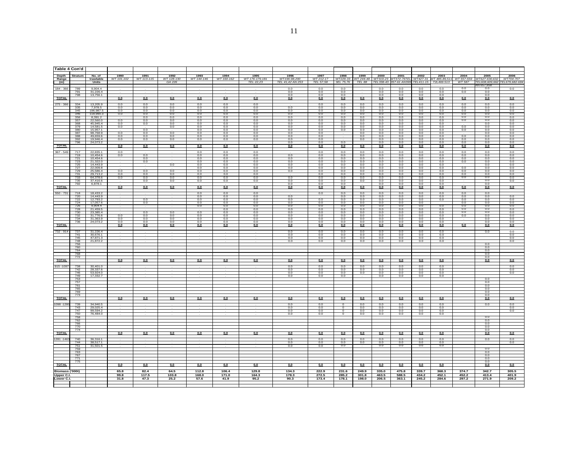| Table 4 Con'd         |                   |                                         |                     |                             |                              |                           |                           |                                      |                                          |                                |                                  |                          |                       |                                                |                       |                                                                                      |                              |                                                        |                          |
|-----------------------|-------------------|-----------------------------------------|---------------------|-----------------------------|------------------------------|---------------------------|---------------------------|--------------------------------------|------------------------------------------|--------------------------------|----------------------------------|--------------------------|-----------------------|------------------------------------------------|-----------------------|--------------------------------------------------------------------------------------|------------------------------|--------------------------------------------------------|--------------------------|
| Depth<br>Range<br>(m) | Stratum           | No. of<br>trawlable<br><b>Units</b>     | 1990<br>WT 101, 102 | $\frac{1991}{WT 113 - 115}$ | 1992<br>WT 128-130<br>GA 226 | $\frac{1993}{WT 144-146}$ | $\frac{1994}{WT 160-162}$ | 1995<br>WT 176-179, 181<br>TEL 22.23 | 1996<br>WT196-98,200<br>TEL 41,42 AN 253 | 1997<br>WT 212-17<br>TEL 57.58 | 1998<br>WT229-33                 | 1999                     | 2000                  | 2001<br>WT244-48 WT319-23 WT372-76TEL WT427-31 | 2002                  | 2003<br>WT 485-89.51<br>3EL 75,76 TEL 88 TEL338-43 357-61 AN399 TEL411-15 T2L469.513 | 2004<br>WT 557-559<br>WT 587 | 2005<br>VT627-630.63.<br>TEL608.609.662 TEL679.682-684 | 2006<br>WT704-707        |
| 184 - 366             | 789               | 9.904.4                                 |                     |                             |                              |                           |                           |                                      | 0.0                                      | 0.0                            | 0.0                              |                          | 0.0                   | 0.0                                            | 0.0                   | 0.0                                                                                  | 0.0                          | AN 657.658<br>0.0                                      | 0.0                      |
|                       | 791<br>798        | 31,226.4<br>13,756.1                    |                     |                             |                              |                           |                           |                                      | 0.0<br>0.0                               | 0.0<br>0.0                     | 0.0<br>0.0                       |                          | 0.0<br>0.0            | 0.0<br>0.0                                     | 0.0<br>0.0            | 0.0<br>0.0                                                                           | 0.0                          | 0.0<br>0.0                                             |                          |
| <b>TOTAL</b>          |                   |                                         | 0.0                 | 0.0                         | 0.0                          | 0.0                       | 0.0                       | 0.0                                  | 0.0                                      | 0.0                            | 0.0                              | 0.0                      | 0.0                   | 0.0                                            | 0.0                   | 0.0                                                                                  | 0.0                          | 0.0                                                    | 0.0                      |
| 275 - 366             | 334               | 13,205.9                                | 0.0                 | 0.0                         | 0.0                          | 0.0                       | 0.0                       | 0.0                                  |                                          | 0.0                            | 0.0                              | 0.0                      | 0.0                   | 0.0                                            | 0.0                   | 0.0                                                                                  | 0.0                          | 0.0                                                    | 0.0                      |
|                       | 335<br>345        | 7,978.5<br>196,987.5                    | 0.0<br>0.0          | 0.0<br>0.0                  | 0.0<br>0.0                   | 0.0<br>0.0                | 0.0<br>0.0                | 0.0<br>0.0                           | 0.0<br>0.0                               | 0.0<br>0.0                     | 0.0<br>0.0                       | 0.0<br>0.0               | 0.0<br>0.0            | 0.0<br>0.0                                     | 0.0<br>0.0            | 0.0<br>0.0                                                                           | 0.0<br>0.0                   | 0.0<br>0.0                                             | 0.0<br>0.0               |
|                       | 346<br>356        | 118,990.3<br>8.391.2                    | 0.0                 | 0.0<br>0.0                  | 0.0<br>0.0                   | 0.0<br>0.0                | 0.0<br>0.0                | 0.0<br>0.0                           | 0.0<br>0.0                               | 0.0<br>0.0                     | 0.0<br>0.0                       | 0.0<br>0.0               | 0.0<br>0.0            | 0.0<br>0.0                                     | 0.0<br>0.0            | 0.0<br>0.0                                                                           | 0.0<br>0.0                   | 0.0<br>0.0                                             | 0.0<br>0.0               |
|                       | 357               | 22,560.0                                | 0.0                 | 0.0                         | 0.0                          | 0.0                       | 0.0                       | 0.0                                  | 0.0                                      | 0.0                            | 0.0                              | 0.0                      | 0.0                   | 0.0                                            | 0.0                   | 0.0                                                                                  | 0.0                          | 0.0                                                    | 0.0                      |
|                       | 368<br>379        | 45.945.4<br>14,581.5<br>15,957.1        | 0.0<br>0.0          | 0.0                         | 0 <sup>0</sup><br>0.0        | 0.0<br>0.0                | 0 <sub>0</sub><br>0.0     | 00<br>0.0                            | 0.0<br>0.0                               | 0 <sub>0</sub><br>0.0          | 00<br>0.0                        | 0.0<br>$\frac{0.0}{0.0}$ | 0 <sub>0</sub><br>0.0 | 0 <sub>0</sub><br>$\frac{0.0}{0.0}$            | 0 <sub>0</sub><br>0.0 | 0.0<br>0.0                                                                           | 0.0                          | 0.0<br>0.0                                             | 0.0<br>$\frac{0.0}{0.0}$ |
|                       | 380<br>387        | 98,768.9                                | 0.0                 | 0.0<br>0.0                  | 0.0                          | 0.0<br>0.0                | 0.0<br>0.0                | 0.0<br>0.0                           | 0.0<br>0.0                               | 0.0<br>0.0                     | 0.0                              | 0.0                      | 0.0<br>0.0            | 0.0                                            | 0.0<br>0.0            | 0.0<br>0.0                                                                           | 0.0                          | 0.0<br>0.0                                             | 0.0                      |
|                       | 388<br>392        | 49,659.6<br>19,946.4                    | 0.0<br>0.0          | 0.0<br>0.0                  | 0.0<br>0.0                   | $\frac{0.0}{0.0}$         | 0.0<br>0.0                | 0.0<br>0.0                           | 0.0<br>0.0                               | 0.0<br>0.0                     |                                  | 0.0<br>0.0               | 0.0<br>0.0            | 0.0<br>0.0                                     | 0.0<br>0.0            | 0.0<br>0.0                                                                           | 0.0<br>0.0                   | 0.0<br>0.0                                             | 0.0<br>0.0               |
|                       | 796               | 24.073.2                                |                     |                             |                              |                           |                           |                                      | 0.0                                      | 0.0                            | 0.0                              |                          | 0.0                   | 0.0                                            | 0.0                   | 0.0                                                                                  | 0.0                          | 0.0                                                    | 0.0                      |
| <b>TOTAL</b>          |                   |                                         | 0.0                 | 0.0                         | 0.0                          | 0.0                       | 0.0                       | 0.0                                  | 0.0                                      | 0.0                            | 0.0                              | 0.0                      | 0.0                   | 0.0                                            | 0.0                   | 0.0                                                                                  | 0.0                          | 0.0                                                    | 0.0                      |
| 367 - 549             | 717<br>719        | 22,835.1<br>10,454.6                    | 0.0<br>0.0          | 0.0                         |                              | 0.0<br>0.0                | 0.0<br>0.0                | 0.0<br>0.0                           | 0.0                                      | 0.0<br>0.0                     | 0.0<br>0.0                       | 0.0<br>0.0               | 0.0<br>0.0            | 0.0<br>0.0                                     | 0.0<br>0.0            | 0.0<br>0.0                                                                           | 0.0<br>0.0                   | 0.0<br>0.0                                             | 0.0<br>0.0               |
|                       | 721<br>723        | 10,454.6<br>21,322.0                    |                     | 0.0<br>0.0                  |                              | 0.0<br>0.0                | 0.0<br>0.0                | 0.0<br>0.0                           | 0.0<br>0.0                               | 0.0<br>0.0                     | 0.0<br>0.0                       | 0.0<br>0.0               | 0.0<br>0.0            | 0.0<br>0.0                                     | 0.0<br>0.0            | 0.0<br>0.0                                                                           | 0.0<br>0.0                   | 0.0<br>0.0                                             | 0.0<br>0.0               |
|                       | 725               | 14,443.9                                |                     |                             | 00                           | 00                        | 00                        | 00                                   | 00                                       | 00                             | 00                               | 00                       | 00                    | 00                                             | 00                    | 00                                                                                   |                              | 00                                                     | 0.0                      |
|                       | $\frac{727}{729}$ | $\frac{22,009.8}{25,586.4}$             | 00                  | $\overline{00}$             | 00                           | $\frac{0.0}{0.0}$         | 0.0<br>00                 | 0.0<br>00                            | $\frac{0.0}{0.0}$                        | 0.0<br>00                      | 0.0<br>0 <sub>0</sub>            | $\frac{0.0}{0.0}$        | 0.0<br>00             | $\frac{0.0}{0.0}$                              | 0.0<br>0 <sub>0</sub> | $\frac{0.0}{0.0}$                                                                    | $\frac{0.0}{0.0}$            | $\frac{0.0}{0.0}$                                      | $\frac{0.0}{0.0}$        |
|                       | 731<br>733        | 29.713.2<br>64,378.6                    | 0.0<br>0.0          | $\frac{0.0}{0.0}$           | 0.0<br>0.0                   | 0.0<br>0.0                | 0 <sub>0</sub><br>0.0     | 0.0<br>0.0                           | 0.0                                      | 00<br>0.0                      | 0.0<br>0.0                       | 0.0<br>0.0               | 0.0<br>0.0            | 0.0<br>0.0                                     | 0.0<br>0.0            | 0.0<br>0.0                                                                           | 0.0<br>0.0                   | 0.0                                                    | $\frac{0.0}{0.0}$        |
|                       | 735<br>792        | 37,416.6<br>6,878.1                     |                     | 0 <sub>0</sub>              | 0 <sup>0</sup>               | 0.0                       | 00                        | 00                                   | 0.0<br>0.0                               | 0 <sub>0</sub><br>0.0          | 0.0<br>0.0                       | 0.0                      | 0.0<br>0.0            | 0.0<br>0.0                                     | 0.0<br>0.0            | 0.0<br>0.0                                                                           |                              | $\frac{0.0}{0.0}$<br>0.0                               | 0.0                      |
| <b>TOTAL</b>          |                   |                                         | 0.0                 | 0.0                         | 0.0                          | 0.0                       | 0.0                       | 0.0                                  | 0.0                                      | 0.0                            | 0.0                              | 0.0                      | 0.0                   | 0.0                                            | 0.0                   | 0.0                                                                                  | 0.0                          | 0.0                                                    | 0.0                      |
| 550 - 731             | 718               | 18,433.2                                |                     |                             |                              | 0.0                       | 0.0                       | 0.0                                  |                                          | 0.0                            | 0.0                              | 0.0                      | 0.0                   | 0.0                                            | 0.0                   | 0.0                                                                                  | 0.0                          | 0.0                                                    |                          |
|                       | 720<br>722        | 14,443.9<br>$\frac{12,793.2}{17,057.6}$ |                     | $\frac{0.0}{0.0}$           |                              | 0.0<br>0.0                | 0.0<br>0.0                | 0.0<br>0.0                           | 0.0<br>0.0                               | 0.0                            | 0.0<br>0.0                       | 0.0<br>0.0               | 0.0<br>0.0            | 0.0<br>0.0                                     | 0.0<br>0.0            | 0.0<br>0.0                                                                           | 0.0<br>0.0                   | 0.0<br>0.0                                             | 0.0<br>0.0               |
|                       | 724<br>726        | 9,904.4                                 |                     |                             |                              | 0.0<br>0.0                | 0.0<br>0.0                | 0.0<br>0.0                           | 0.0<br>0.0                               | 0.0<br>0.0                     | 0.0<br>0.0                       | 0.0<br>0.0               | 0.0<br>0.0            | 0.0<br>0.0                                     | 0.0<br>0.0            | 0.0                                                                                  | 0.0<br>0.0                   | 0.0<br>0.0                                             | 0.0<br>0.0               |
|                       | 728<br>730        | 21,459.5<br>23,385.4                    |                     | 0.0                         | 0.0                          | 0.0                       | 0.0<br>0.0                | 0.0<br>0.0                           | 0.0<br>0.0                               | 0.0<br>0.0                     | 0.0<br>0.0                       | 0.0<br>0.0               | 0.0<br>0.0            | 0.0<br>0.0                                     | 0.0<br>0.0            | 0.0<br>0.0                                                                           | $\frac{0.0}{0.0}$            | $\frac{0.0}{0.0}$                                      | 0.0<br>0.0               |
|                       | $\frac{732}{734}$ | 31,776.6<br>31,363.9                    | $\frac{0.0}{0.0}$   | $\frac{0.0}{0.0}$           | 0.0                          | $\frac{0.0}{0.0}$         | 0.0                       | 0.0                                  | $\frac{0.0}{0.0}$                        | 0.0                            | 0.0                              | $\frac{0.0}{0.0}$        | 0.0                   | $\frac{0.0}{0.0}$                              | 0.0                   | $\frac{0.0}{0.0}$                                                                    | 0.0                          | $\frac{0.0}{0.0}$                                      | $\frac{0.0}{0.0}$        |
|                       | 736               | 24,073.2                                | 0.0                 | 0.0                         | 0.0<br>00                    | 0.0                       | 0.0<br>0 <sub>0</sub>     | 0.0<br>00                            | 0.0                                      | 0.0<br>00                      | 0.0<br>0 <sub>0</sub>            | 0.0                      | 0.0<br>0 <sub>0</sub> | 0.0                                            | 0.0<br>0 <sub>0</sub> | 0.0                                                                                  |                              | 0.0                                                    | $\frac{0.0}{0.0}$        |
| <b>TOTAL</b>          |                   |                                         | 0.0                 | 0.0                         | 0.0                          | 0.0                       | 0.0                       | 0.0                                  | 0.0                                      | 0.0                            | 0.0                              | 0.0                      | 0.0                   | 0.0                                            | 0.0                   | 0.0                                                                                  | 0.0                          | 0.0                                                    |                          |
| $732 - 914$           | 737<br>741        | 31,226.4<br>30,676.1                    |                     |                             |                              |                           |                           |                                      | 00<br>0.0                                | 00<br>0.0                      | 0 <sub>0</sub><br>0.0            | 0 <sub>0</sub><br>0.0    | 0 <sub>0</sub><br>0.0 | 0 <sub>0</sub><br>0.0                          | 00<br>0.0             | 00<br>0.0                                                                            |                              | 00                                                     | 0.0<br>0.0               |
|                       | 745<br>748        | 47.871.3<br>21.872.2                    |                     |                             |                              |                           |                           |                                      | 0.0<br>0.0                               | 0.0                            | 0.0<br>0.0                       | $\frac{0.0}{0.0}$        | 0.0<br>0.0            | $\frac{0.0}{0.0}$                              | 0.0<br>0.0            | $\frac{0.0}{0.0}$                                                                    |                              |                                                        | $\frac{0.0}{0.0}$        |
|                       | 756               |                                         |                     |                             |                              |                           |                           |                                      |                                          | 0.0                            |                                  |                          |                       |                                                |                       |                                                                                      |                              | 0.0                                                    |                          |
|                       | 760<br>764        |                                         |                     |                             |                              |                           |                           |                                      |                                          |                                |                                  |                          |                       |                                                |                       |                                                                                      |                              | 0.0<br>0.0                                             |                          |
|                       | 768<br>772        |                                         |                     |                             |                              |                           |                           |                                      |                                          |                                |                                  |                          |                       |                                                |                       |                                                                                      |                              | 0.0<br>0.0                                             |                          |
| <b>TOTAL</b>          |                   |                                         | 0.0                 | 0.0                         | 0.0                          | 0.0                       | 0.0                       | 0.0                                  | 0.0                                      | 0.0                            | 0.0                              | 0.0                      | 0.0                   | 0.0                                            | 0.0                   | 0.0                                                                                  |                              | 0.0                                                    | 0.0                      |
| 915-1097              | 738               | 30,401.0                                |                     |                             |                              |                           |                           |                                      | 0.0                                      | 0.0                            | 0.0                              | 0.0                      | 0.0                   | 0.0                                            | 0.0                   | 0.0                                                                                  |                              |                                                        | 0.0                      |
|                       | 742<br>746        | 28,337.6<br>53,924.0                    |                     |                             |                              |                           |                           |                                      | 0.0<br>0.0                               | 0.0<br>0.0                     | 0.0<br>0.0                       | 0.0<br>0.0               | 0.0<br>0.0            | 0.0<br>0.0                                     | 0.0<br>0.0            | 0.0<br>0.0                                                                           |                              |                                                        | 0.0<br>0.0               |
|                       | 749<br>753        | 17,332.7                                |                     |                             |                              |                           |                           |                                      | 0.0                                      | 0.0                            | 0.0                              |                          | 0.0                   | 0.0                                            | 0.0                   | 0.0                                                                                  |                              | 0.0                                                    |                          |
|                       | 757<br>761        |                                         |                     |                             |                              |                           |                           |                                      |                                          |                                |                                  |                          |                       |                                                |                       |                                                                                      |                              | 0.0<br>0.0                                             |                          |
|                       | 765<br>769        |                                         |                     |                             |                              |                           |                           |                                      |                                          |                                |                                  |                          |                       |                                                |                       |                                                                                      |                              | 0.0<br>0.0                                             |                          |
|                       | 773               |                                         | 0.0                 |                             | 0.0                          |                           | 0.0                       | 0.0                                  |                                          | 0.0                            |                                  |                          |                       |                                                |                       |                                                                                      |                              | 0.0<br>0.0                                             | 0.0                      |
| <b>TOTAL</b>          |                   |                                         |                     | 0.0                         |                              | 0.0                       |                           |                                      | 0.0                                      |                                | 0.0                              | 0.0                      | 0.0                   | 0.0                                            | 0.0                   | 0.0                                                                                  |                              |                                                        |                          |
| 098 - 128             | 739<br>743        | 34,940.5<br>29,025.4                    |                     |                             |                              |                           |                           |                                      | 0.0<br>0.0                               | 0.0<br>0.0                     | $\overline{0}$                   | 0.0<br>0.0               | 0.0<br>0.0            | 0.0<br>0.0                                     | 0.0<br>0.0            | 0.0<br>0.0                                                                           |                              | 0.0                                                    | 0.0<br>0.0               |
|                       | 747<br>750        | 99,594.2<br>76,484.0                    |                     |                             |                              |                           |                           |                                      | 0.0<br>0.0                               | 0.0<br>0.0                     | $\overline{0}$<br>$\overline{0}$ | 0.0<br>0.0               | 0.0<br>0.0            | $\frac{0.0}{0.0}$                              | 0.0<br>0.0            | 0.0<br>0.0                                                                           |                              |                                                        | 0.0                      |
|                       | 758<br>762        |                                         |                     |                             |                              |                           |                           |                                      |                                          |                                |                                  |                          |                       |                                                |                       |                                                                                      |                              | 0.0<br>0.0                                             |                          |
|                       | 766               |                                         |                     |                             |                              |                           |                           |                                      |                                          |                                |                                  |                          |                       |                                                |                       |                                                                                      |                              | 0.0                                                    |                          |
|                       | 770<br>774        |                                         |                     |                             |                              |                           |                           |                                      |                                          |                                |                                  |                          |                       |                                                |                       |                                                                                      |                              | 0.0<br>0.0                                             |                          |
| <b>TOTAL</b>          |                   |                                         | 0.0                 | 0.0                         | 0.0                          | 0.0                       | 0.0                       | 0.0                                  | 0.0                                      | 0.0                            | 0.0                              | 0.0                      | 0.0                   | 0.0                                            | 0.0                   | 0.0                                                                                  |                              | 0.0                                                    | 0.0                      |
| 281-1463              | 740<br>744        | 36,316.1<br>38,517.1                    |                     |                             |                              |                           |                           |                                      | 0.0<br>0.0                               | 0.0<br>0.0                     | 0.0<br>0.0                       | 0.0<br>0.0               | 0.0<br>0.0            | 0.0<br>0.0                                     | 0.0<br>0.0            | 0.0<br>0.0                                                                           |                              | 0.0                                                    | 0.0<br>0.0               |
|                       | 751<br>759        | 31,501.5                                |                     |                             |                              |                           |                           |                                      | 0.0                                      | 0.0                            | 0.0                              |                          | 0.0                   | 0.0                                            | 0.0                   | 0.0                                                                                  |                              | 0.0                                                    |                          |
|                       | 763               |                                         |                     |                             |                              |                           |                           |                                      |                                          |                                |                                  |                          |                       |                                                |                       |                                                                                      |                              | 0.0                                                    |                          |
|                       | 767<br>771        |                                         |                     |                             |                              |                           |                           |                                      |                                          |                                |                                  |                          |                       |                                                |                       |                                                                                      |                              | 0.0<br>0.0                                             |                          |
| <b>TOTAL</b>          | 775               |                                         | 0.0                 | 0.0                         | 0.0                          | 0.0                       | 0.0                       | 0.0                                  | 0.0                                      | 0.0                            | 0.0                              | 0.0                      | 0.0                   | 0.0                                            | 0.0                   | 0.0                                                                                  |                              | 00<br>0.0                                              | 0.0                      |
| Biomass ('000t)       |                   |                                         | 65.8                | 82.4                        | 64.5                         | 112.8                     | 106.4                     | 129.8                                | 134.3                                    | 222.9                          | 231.6                            | 249.9                    | 335.0                 | 475.8                                          | 339.7                 | 368.3                                                                                | 374.7                        | 342.7                                                  | 305.5                    |
| Upper C.I.            |                   |                                         | 99.8                | 117.5                       | 103.8                        | 168.0                     | 171.0                     | 164.3                                | 178.3                                    | 272.5                          | 285.2                            | 301.8                    | 463.5                 | 588.5                                          | 434.2                 | 452.1                                                                                | 452.2                        | 413.4                                                  | 401.9                    |
| Lower C.I.            |                   |                                         | 31.8                | 47.3                        | 25.2                         | 57.6                      | 41.9                      | 95.2                                 | 90.3                                     | 173.4                          | 178.1                            | 198.0                    | 206.5                 | 363.1                                          | 245.2                 | 284.6                                                                                | 297.2                        | 271.9                                                  | 209.2                    |
|                       |                   |                                         |                     |                             |                              |                           |                           |                                      |                                          |                                |                                  |                          |                       |                                                |                       |                                                                                      |                              |                                                        |                          |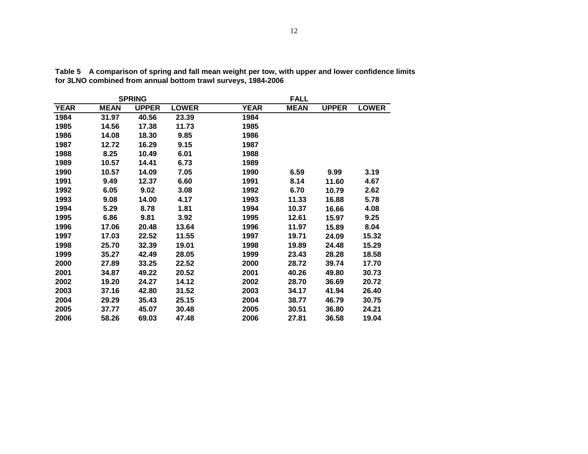|             |             | <b>SPRING</b> |              |             | <b>FALL</b> |              |              |
|-------------|-------------|---------------|--------------|-------------|-------------|--------------|--------------|
| <b>YEAR</b> | <b>MEAN</b> | <b>UPPER</b>  | <b>LOWER</b> | <b>YEAR</b> | <b>MEAN</b> | <b>UPPER</b> | <b>LOWER</b> |
| 1984        | 31.97       | 40.56         | 23.39        | 1984        |             |              |              |
| 1985        | 14.56       | 17.38         | 11.73        | 1985        |             |              |              |
| 1986        | 14.08       | 18.30         | 9.85         | 1986        |             |              |              |
| 1987        | 12.72       | 16.29         | 9.15         | 1987        |             |              |              |
| 1988        | 8.25        | 10.49         | 6.01         | 1988        |             |              |              |
| 1989        | 10.57       | 14.41         | 6.73         | 1989        |             |              |              |
| 1990        | 10.57       | 14.09         | 7.05         | 1990        | 6.59        | 9.99         | 3.19         |
| 1991        | 9.49        | 12.37         | 6.60         | 1991        | 8.14        | 11.60        | 4.67         |
| 1992        | 6.05        | 9.02          | 3.08         | 1992        | 6.70        | 10.79        | 2.62         |
| 1993        | 9.08        | 14.00         | 4.17         | 1993        | 11.33       | 16.88        | 5.78         |
| 1994        | 5.29        | 8.78          | 1.81         | 1994        | 10.37       | 16.66        | 4.08         |
| 1995        | 6.86        | 9.81          | 3.92         | 1995        | 12.61       | 15.97        | 9.25         |
| 1996        | 17.06       | 20.48         | 13.64        | 1996        | 11.97       | 15.89        | 8.04         |
| 1997        | 17.03       | 22.52         | 11.55        | 1997        | 19.71       | 24.09        | 15.32        |
| 1998        | 25.70       | 32.39         | 19.01        | 1998        | 19.89       | 24.48        | 15.29        |
| 1999        | 35.27       | 42.49         | 28.05        | 1999        | 23.43       | 28.28        | 18.58        |
| 2000        | 27.89       | 33.25         | 22.52        | 2000        | 28.72       | 39.74        | 17.70        |
| 2001        | 34.87       | 49.22         | 20.52        | 2001        | 40.26       | 49.80        | 30.73        |
| 2002        | 19.20       | 24.27         | 14.12        | 2002        | 28.70       | 36.69        | 20.72        |
| 2003        | 37.16       | 42.80         | 31.52        | 2003        | 34.17       | 41.94        | 26.40        |
| 2004        | 29.29       | 35.43         | 25.15        | 2004        | 38.77       | 46.79        | 30.75        |
| 2005        | 37.77       | 45.07         | 30.48        | 2005        | 30.51       | 36.80        | 24.21        |
| 2006        | 58.26       | 69.03         | 47.48        | 2006        | 27.81       | 36.58        | 19.04        |

**Table 5 A comparison of spring and fall mean weight per tow, with upper and lower confidence limits for 3LNO combined from annual bottom trawl surveys, 1984-2006**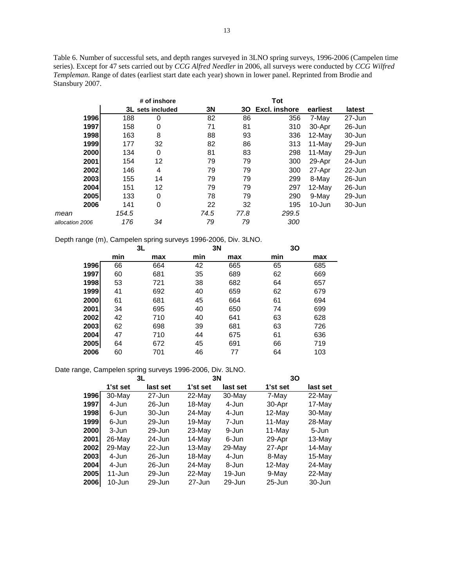Table 6. Number of successful sets, and depth ranges surveyed in 3LNO spring surveys, 1996-2006 (Campelen time series). Except for 47 sets carried out by *CCG Alfred Needler* in 2006, all surveys were conducted by *CCG Wilfred Templeman*. Range of dates (earliest start date each year) shown in lower panel. Reprinted from Brodie and Stansbury 2007.

|                 |       | # of inshore     |      |      |               |            |            |
|-----------------|-------|------------------|------|------|---------------|------------|------------|
|                 |       | 3L sets included | 3N   | 30   | Excl. inshore | earliest   | latest     |
| 1996            | 188   | 0                | 82   | 86   | 356           | 7-May      | $27 - Jun$ |
| 1997            | 158   | 0                | 71   | 81   | 310           | 30-Apr     | $26$ -Jun  |
| 1998            | 163   | 8                | 88   | 93   | 336           | $12$ -May  | 30-Jun     |
| 1999            | 177   | 32               | 82   | 86   | 313           | $11$ -May  | 29-Jun     |
| 2000            | 134   | 0                | 81   | 83   | 298           | $11-May$   | 29-Jun     |
| 2001            | 154   | 12               | 79   | 79   | 300           | 29-Apr     | 24-Jun     |
| 2002            | 146   | 4                | 79   | 79   | 300           | 27-Apr     | 22-Jun     |
| 2003            | 155   | 14               | 79   | 79   | 299           | 8-May      | 26-Jun     |
| 2004            | 151   | 12               | 79   | 79   | 297           | $12$ -May  | 26-Jun     |
| 2005            | 133   | 0                | 78   | 79   | 290           | 9-May      | 29-Jun     |
| 2006            | 141   | 0                | 22   | 32   | 195           | $10 - Jun$ | 30-Jun     |
| mean            | 154.5 |                  | 74.5 | 77.8 | 299.5         |            |            |
| allocation 2006 | 176   | 34               | 79   | 79   | 300           |            |            |

Depth range (m), Campelen spring surveys 1996-2006, Div. 3LNO.

|      | 3L  |     | 3N  |     | 30  |     |
|------|-----|-----|-----|-----|-----|-----|
|      | min | max | min | max | min | max |
| 1996 | 66  | 664 | 42  | 665 | 65  | 685 |
| 1997 | 60  | 681 | 35  | 689 | 62  | 669 |
| 1998 | 53  | 721 | 38  | 682 | 64  | 657 |
| 1999 | 41  | 692 | 40  | 659 | 62  | 679 |
| 2000 | 61  | 681 | 45  | 664 | 61  | 694 |
| 2001 | 34  | 695 | 40  | 650 | 74  | 699 |
| 2002 | 42  | 710 | 40  | 641 | 63  | 628 |
| 2003 | 62  | 698 | 39  | 681 | 63  | 726 |
| 2004 | 47  | 710 | 44  | 675 | 61  | 636 |
| 2005 | 64  | 672 | 45  | 691 | 66  | 719 |
| 2006 | 60  | 701 | 46  | 77  | 64  | 103 |

Date range, Campelen spring surveys 1996-2006, Div. 3LNO.

|      | 3L         |           |            | 3N        | 30         |           |  |  |
|------|------------|-----------|------------|-----------|------------|-----------|--|--|
|      | 1'st set   | last set  | 1'st set   | last set  | 1'st set   | last set  |  |  |
| 1996 | 30-May     | 27-Jun    | 22-May     | 30-May    | 7-May      | 22-May    |  |  |
| 1997 | 4-Jun      | $26$ -Jun | 18-May     | 4-Jun     | 30-Apr     | 17-May    |  |  |
| 1998 | 6-Jun      | 30-Jun    | 24-May     | 4-Jun     | 12-May     | 30-May    |  |  |
| 1999 | 6-Jun      | 29-Jun    | $19$ -May  | 7-Jun     | $11$ -May  | $28$ -May |  |  |
| 2000 | 3-Jun      | 29-Jun    | 23-May     | 9-Jun     | $11$ -May  | 5-Jun     |  |  |
| 2001 | $26$ -May  | $24$ -Jun | 14-May     | 6-Jun     | 29-Apr     | 13-May    |  |  |
| 2002 | $29$ -May  | $22$ -Jun | $13$ -May  | $29$ -May | 27-Apr     | 14-May    |  |  |
| 2003 | 4-Jun      | 26-Jun    | $18$ -May  | 4-Jun     | 8-May      | $15$ -May |  |  |
| 2004 | 4-Jun      | $26$ -Jun | $24$ -May  | 8-Jun     | $12$ -May  | $24$ -May |  |  |
| 2005 | $11 - Jun$ | 29-Jun    | 22-May     | 19-Jun    | 9-May      | 22-May    |  |  |
| 2006 | $10 - Jun$ | 29-Jun    | $27 - Jun$ | 29-Jun    | $25 - Jun$ | 30-Jun    |  |  |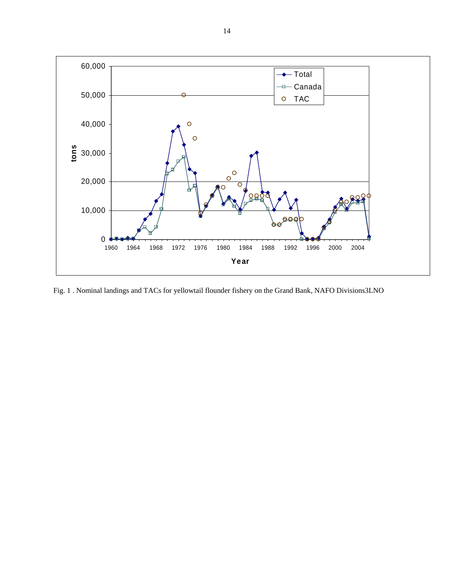

Fig. 1 . Nominal landings and TACs for yellowtail flounder fishery on the Grand Bank, NAFO Divisions3LNO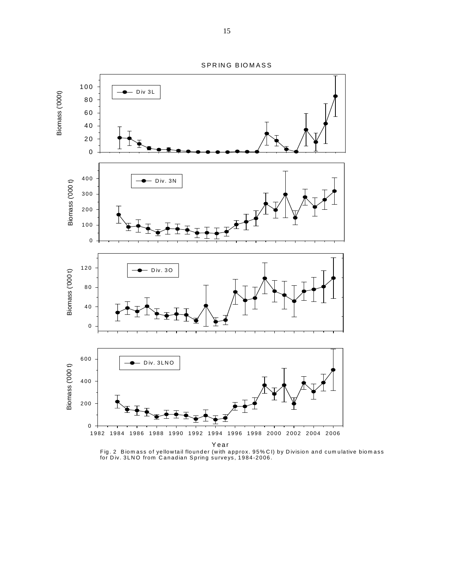SPRING BIOMASS



Fig. 2 Biom ass of yellowtail flounder (with approx. 95% CI) by D ivision and cum ulative biom ass for Div. 3LNO from Canadian Spring surveys, 1984-2006.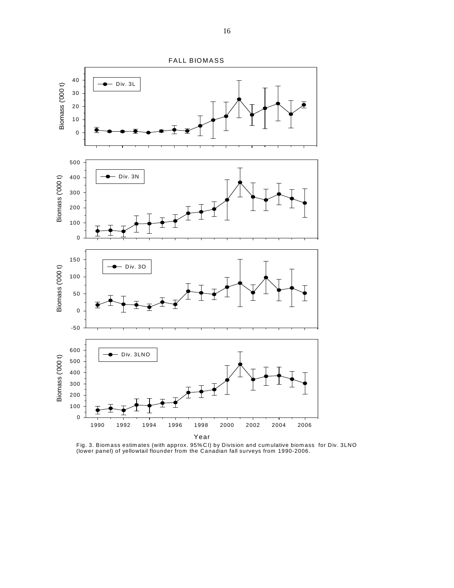

Fig. 3. Biom ass estim ates (with approx. 95%CI) by Division and cum ulative biom ass for Div. 3LNO (lower panel) of yellowtail flounder from the Canadian fall surveys from 1990-2006.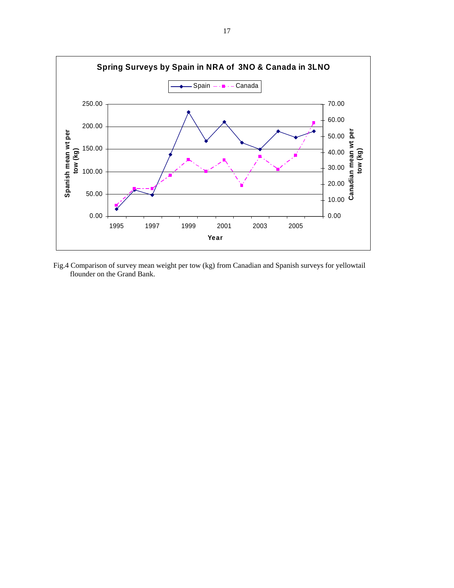

Fig.4 Comparison of survey mean weight per tow (kg) from Canadian and Spanish surveys for yellowtail flounder on the Grand Bank.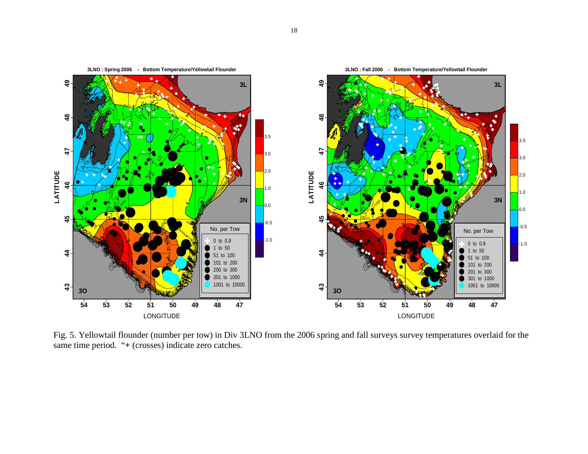

Fig. 5. Yellowtail flounder (number per tow) in Div 3LNO from the 2006 spring and fall surveys survey temperatures overlaid for the same time period. "**+** (crosses) indicate zero catches.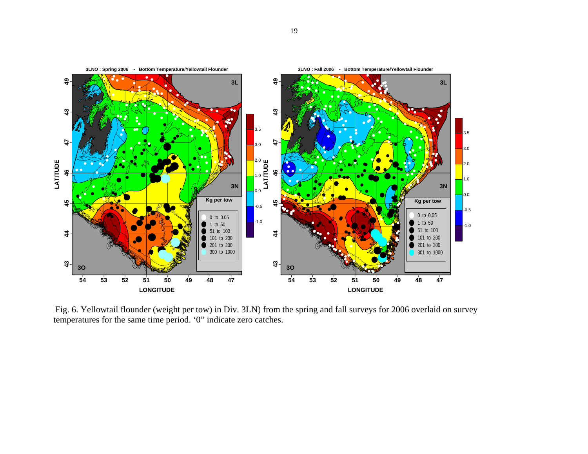

Fig. 6. Yellowtail flounder (weight per tow) in Div. 3LN) from the spring and fall surveys for 2006 overlaid on survey temperatures for the same time period. '0" indicate zero catches.